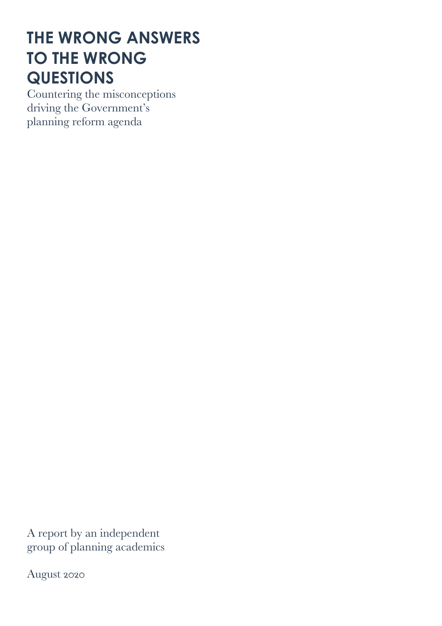# **THE WRONG ANSWERS TO THE WRONG QUESTIONS**

Countering the misconceptions driving the Government's planning reform agenda

A report by an independent group of planning academics

August 2020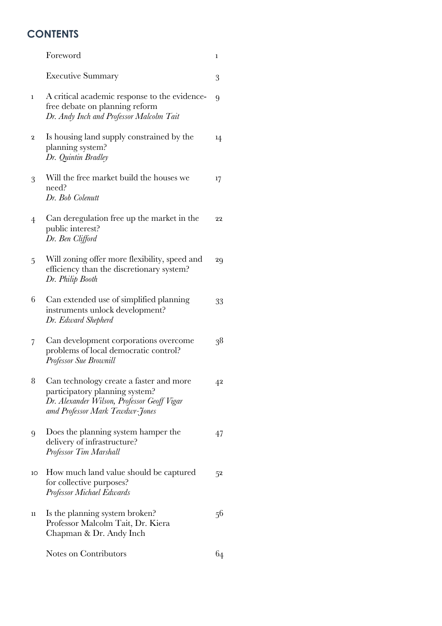# **CONTENTS**

|              | Foreword                                                                                                                                                    | 1           |
|--------------|-------------------------------------------------------------------------------------------------------------------------------------------------------------|-------------|
|              | <b>Executive Summary</b>                                                                                                                                    | 3           |
| $\mathbf{1}$ | A critical academic response to the evidence-<br>free debate on planning reform<br>Dr. Andy Inch and Professor Malcolm Tait                                 | 9           |
| 2            | Is housing land supply constrained by the<br>planning system?<br>Dr. Quintin Bradley                                                                        | 14          |
| 3            | Will the free market build the houses we<br>need?<br>Dr. Bob Colenutt                                                                                       | 17          |
| 4            | Can deregulation free up the market in the<br>public interest?<br>Dr. Ben Clifford                                                                          | 22          |
| 5            | Will zoning offer more flexibility, speed and<br>efficiency than the discretionary system?<br>Dr. Philip Booth                                              | 29          |
| 6            | Can extended use of simplified planning<br>instruments unlock development?<br>Dr. Edward Shepherd                                                           | 33          |
| 7            | Can development corporations overcome<br>problems of local democratic control?<br>Professor Sue Brownill                                                    | 38          |
| 8            | Can technology create a faster and more<br>participatory planning system?<br>Dr. Alexander Wilson, Professor Geoff Vigar<br>amd Professor Mark Tewdwr-Jones | $4^{\rm 2}$ |
| 9            | Does the planning system hamper the<br>delivery of infrastructure?<br>Professor Tim Marshall                                                                | 47          |
| 10           | How much land value should be captured<br>for collective purposes?<br>Professor Michael Edwards                                                             | 52          |
| 11           | Is the planning system broken?<br>Professor Malcolm Tait, Dr. Kiera<br>Chapman & Dr. Andy Inch                                                              | 56          |
|              | Notes on Contributors                                                                                                                                       | 64          |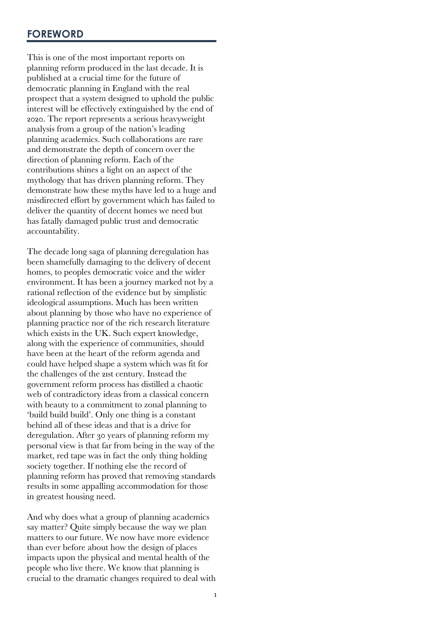This is one of the most important reports on planning reform produced in the last decade. It is published at a crucial time for the future of democratic planning in England with the real prospect that a system designed to uphold the public interest will be effectively extinguished by the end of 2020. The report represents a serious heavyweight analysis from a group of the nation's leading planning academics. Such collaborations are rare and demonstrate the depth of concern over the direction of planning reform. Each of the contributions shines a light on an aspect of the mythology that has driven planning reform. They demonstrate how these myths have led to a huge and misdirected effort by government which has failed to deliver the quantity of decent homes we need but has fatally damaged public trust and democratic accountability.

The decade long saga of planning deregulation has been shamefully damaging to the delivery of decent homes, to peoples democratic voice and the wider environment. It has been a journey marked not by a rational reflection of the evidence but by simplistic ideological assumptions. Much has been written about planning by those who have no experience of planning practice nor of the rich research literature which exists in the UK. Such expert knowledge, along with the experience of communities, should have been at the heart of the reform agenda and could have helped shape a system which was fit for the challenges of the 21st century. Instead the government reform process has distilled a chaotic web of contradictory ideas from a classical concern with beauty to a commitment to zonal planning to 'build build build'. Only one thing is a constant behind all of these ideas and that is a drive for deregulation. After 30 years of planning reform my personal view is that far from being in the way of the market, red tape was in fact the only thing holding society together. If nothing else the record of planning reform has proved that removing standards results in some appalling accommodation for those in greatest housing need.

And why does what a group of planning academics say matter? Quite simply because the way we plan matters to our future. We now have more evidence than ever before about how the design of places impacts upon the physical and mental health of the people who live there. We know that planning is crucial to the dramatic changes required to deal with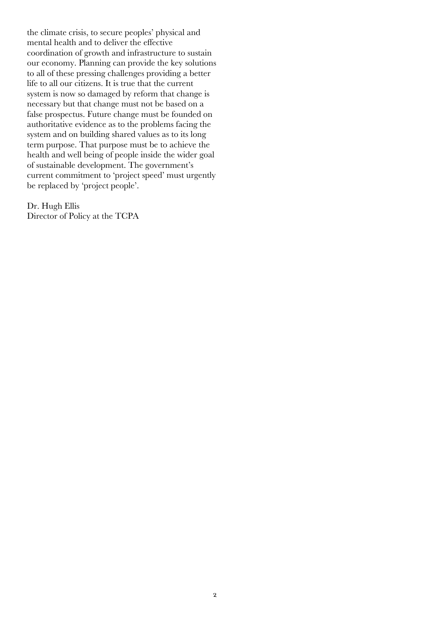the climate crisis, to secure peoples' physical and mental health and to deliver the effective coordination of growth and infrastructure to sustain our economy. Planning can provide the key solutions to all of these pressing challenges providing a better life to all our citizens. It is true that the current system is now so damaged by reform that change is necessary but that change must not be based on a false prospectus. Future change must be founded on authoritative evidence as to the problems facing the system and on building shared values as to its long term purpose. That purpose must be to achieve the health and well being of people inside the wider goal of sustainable development. The government's current commitment to 'project speed' must urgently be replaced by 'project people'.

Dr. Hugh Ellis Director of Policy at the TCPA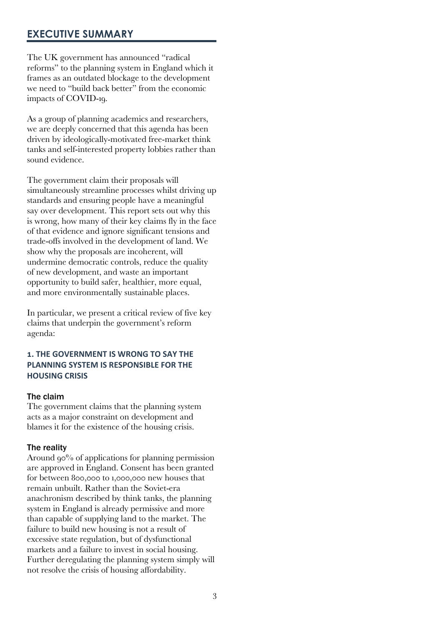# **EXECUTIVE SUMMARY**

The UK government has announced "radical reforms" to the planning system in England which it frames as an outdated blockage to the development we need to "build back better" from the economic impacts of COVID-19.

As a group of planning academics and researchers, we are deeply concerned that this agenda has been driven by ideologically-motivated free-market think tanks and self-interested property lobbies rather than sound evidence.

The government claim their proposals will simultaneously streamline processes whilst driving up standards and ensuring people have a meaningful say over development. This report sets out why this is wrong, how many of their key claims fly in the face of that evidence and ignore significant tensions and trade-offs involved in the development of land. We show why the proposals are incoherent, will undermine democratic controls, reduce the quality of new development, and waste an important opportunity to build safer, healthier, more equal, and more environmentally sustainable places.

In particular, we present a critical review of five key claims that underpin the government's reform agenda:

# **!. THE GOVERNMENT IS WRONG TO SAY THE PLANNING SYSTEM IS RESPONSIBLE FOR THE HOUSING CRISIS**

#### The claim

The government claims that the planning system acts as a major constraint on development and blames it for the existence of the housing crisis.

#### The reality

Around  $90\%$  of applications for planning permission are approved in England. Consent has been granted for between 800,000 to 1,000,000 new houses that remain unbuilt. Rather than the Soviet-era anachronism described by think tanks, the planning system in England is already permissive and more than capable of supplying land to the market. The failure to build new housing is not a result of excessive state regulation, but of dysfunctional markets and a failure to invest in social housing. Further deregulating the planning system simply will not resolve the crisis of housing affordability.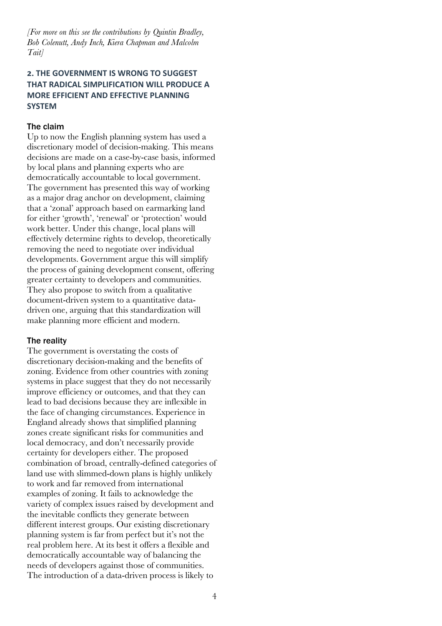*[For more on this see the contributions by Quintin Bradley, Bob Colenutt, Andy Inch, Kiera Chapman and Malcolm Tait]*

# **8. THE GOVERNMENT IS WRONG TO SUGGEST THAT RADICAL SIMPLIFICATION WILL PRODUCE A MORE EFFICIENT AND EFFECTIVE PLANNING SYSTEM**

#### The claim

Up to now the English planning system has used a discretionary model of decision-making. This means decisions are made on a case-by-case basis, informed by local plans and planning experts who are democratically accountable to local government. The government has presented this way of working as a major drag anchor on development, claiming that a 'zonal' approach based on earmarking land for either 'growth', 'renewal' or 'protection' would work better. Under this change, local plans will effectively determine rights to develop, theoretically removing the need to negotiate over individual developments. Government argue this will simplify the process of gaining development consent, offering greater certainty to developers and communities. They also propose to switch from a qualitative document-driven system to a quantitative datadriven one, arguing that this standardization will make planning more efficient and modern.

#### The reality

The government is overstating the costs of discretionary decision-making and the benefits of zoning. Evidence from other countries with zoning systems in place suggest that they do not necessarily improve efficiency or outcomes, and that they can lead to bad decisions because they are inflexible in the face of changing circumstances. Experience in England already shows that simplified planning zones create significant risks for communities and local democracy, and don't necessarily provide certainty for developers either. The proposed combination of broad, centrally-defined categories of land use with slimmed-down plans is highly unlikely to work and far removed from international examples of zoning. It fails to acknowledge the variety of complex issues raised by development and the inevitable conflicts they generate between different interest groups. Our existing discretionary planning system is far from perfect but it's not the real problem here. At its best it offers a flexible and democratically accountable way of balancing the needs of developers against those of communities. The introduction of a data-driven process is likely to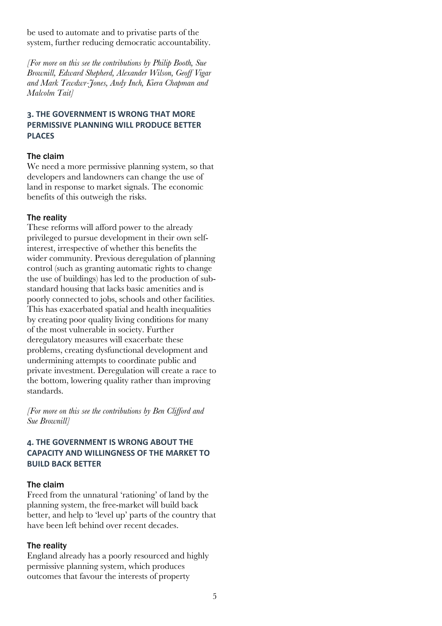be used to automate and to privatise parts of the system, further reducing democratic accountability.

*[For more on this see the contributions by Philip Booth, Sue Brownill, Edward Shepherd, Alexander Wilson, Geoff Vigar and Mark Tewdwr-Jones, Andy Inch, Kiera Chapman and Malcolm Tait]*

## **:. THE GOVERNMENT IS WRONG THAT MORE PERMISSIVE PLANNING WILL PRODUCE BETTER PLACES**

### The claim

We need a more permissive planning system, so that developers and landowners can change the use of land in response to market signals. The economic benefits of this outweigh the risks.

#### The reality

These reforms will afford power to the already privileged to pursue development in their own selfinterest, irrespective of whether this benefits the wider community. Previous deregulation of planning control (such as granting automatic rights to change the use of buildings) has led to the production of substandard housing that lacks basic amenities and is poorly connected to jobs, schools and other facilities. This has exacerbated spatial and health inequalities by creating poor quality living conditions for many of the most vulnerable in society. Further deregulatory measures will exacerbate these problems, creating dysfunctional development and undermining attempts to coordinate public and private investment. Deregulation will create a race to the bottom, lowering quality rather than improving standards.

*[For more on this see the contributions by Ben Clifford and Sue Brownill]*

# **;. THE GOVERNMENT IS WRONG ABOUT THE CAPACITY AND WILLINGNESS OF THE MARKET TO BUILD BACK BETTER**

#### The claim

Freed from the unnatural 'rationing' of land by the planning system, the free-market will build back better, and help to 'level up' parts of the country that have been left behind over recent decades.

#### The reality

England already has a poorly resourced and highly permissive planning system, which produces outcomes that favour the interests of property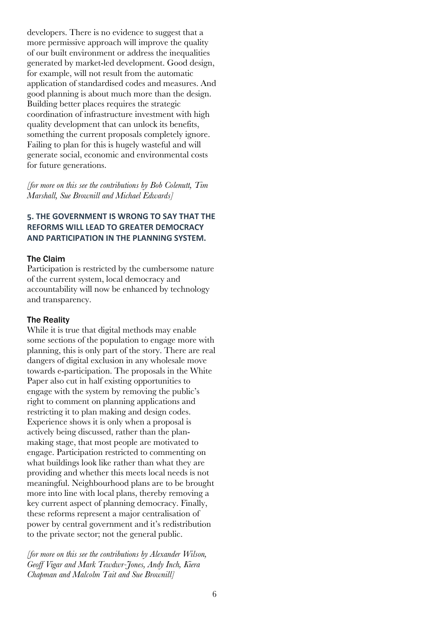developers. There is no evidence to suggest that a more permissive approach will improve the quality of our built environment or address the inequalities generated by market-led development. Good design, for example, will not result from the automatic application of standardised codes and measures. And good planning is about much more than the design. Building better places requires the strategic coordination of infrastructure investment with high quality development that can unlock its benefits, something the current proposals completely ignore. Failing to plan for this is hugely wasteful and will generate social, economic and environmental costs for future generations.

*[for more on this see the contributions by Bob Colenutt, Tim Marshall, Sue Brownill and Michael Edwards]*

# **=. THE GOVERNMENT IS WRONG TO SAY THAT THE REFORMS WILL LEAD TO GREATER DEMOCRACY AND PARTICIPATION IN THE PLANNING SYSTEM.**

#### The Claim

Participation is restricted by the cumbersome nature of the current system, local democracy and accountability will now be enhanced by technology and transparency.

#### The Reality

While it is true that digital methods may enable some sections of the population to engage more with planning, this is only part of the story. There are real dangers of digital exclusion in any wholesale move towards e-participation. The proposals in the White Paper also cut in half existing opportunities to engage with the system by removing the public's right to comment on planning applications and restricting it to plan making and design codes. Experience shows it is only when a proposal is actively being discussed, rather than the planmaking stage, that most people are motivated to engage. Participation restricted to commenting on what buildings look like rather than what they are providing and whether this meets local needs is not meaningful. Neighbourhood plans are to be brought more into line with local plans, thereby removing a key current aspect of planning democracy. Finally, these reforms represent a major centralisation of power by central government and it's redistribution to the private sector; not the general public.

*[for more on this see the contributions by Alexander Wilson, Geoff Vigar and Mark Tewdwr-Jones, Andy Inch, Kiera Chapman and Malcolm Tait and Sue Brownill]*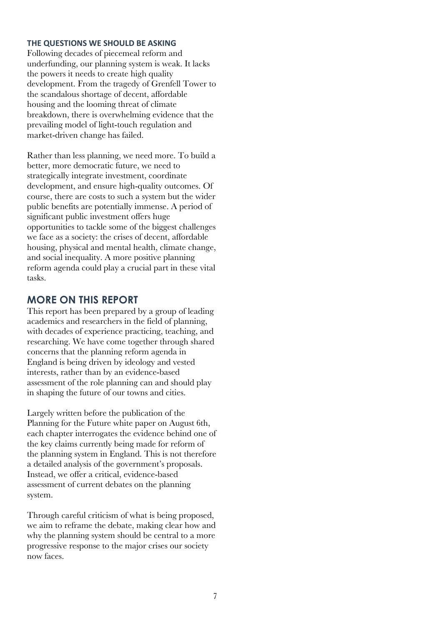#### **THE QUESTIONS WE SHOULD BE ASKING**

Following decades of piecemeal reform and underfunding, our planning system is weak. It lacks the powers it needs to create high quality development. From the tragedy of Grenfell Tower to the scandalous shortage of decent, affordable housing and the looming threat of climate breakdown, there is overwhelming evidence that the prevailing model of light-touch regulation and market-driven change has failed.

Rather than less planning, we need more. To build a better, more democratic future, we need to strategically integrate investment, coordinate development, and ensure high-quality outcomes. Of course, there are costs to such a system but the wider public benefits are potentially immense. A period of significant public investment offers huge opportunities to tackle some of the biggest challenges we face as a society: the crises of decent, affordable housing, physical and mental health, climate change, and social inequality. A more positive planning reform agenda could play a crucial part in these vital tasks.

# **MORE ON THIS REPORT**

This report has been prepared by a group of leading academics and researchers in the field of planning, with decades of experience practicing, teaching, and researching. We have come together through shared concerns that the planning reform agenda in England is being driven by ideology and vested interests, rather than by an evidence-based assessment of the role planning can and should play in shaping the future of our towns and cities.

Largely written before the publication of the Planning for the Future white paper on August 6th, each chapter interrogates the evidence behind one of the key claims currently being made for reform of the planning system in England. This is not therefore a detailed analysis of the government's proposals. Instead, we offer a critical, evidence-based assessment of current debates on the planning system.

Through careful criticism of what is being proposed, we aim to reframe the debate, making clear how and why the planning system should be central to a more progressive response to the major crises our society now faces.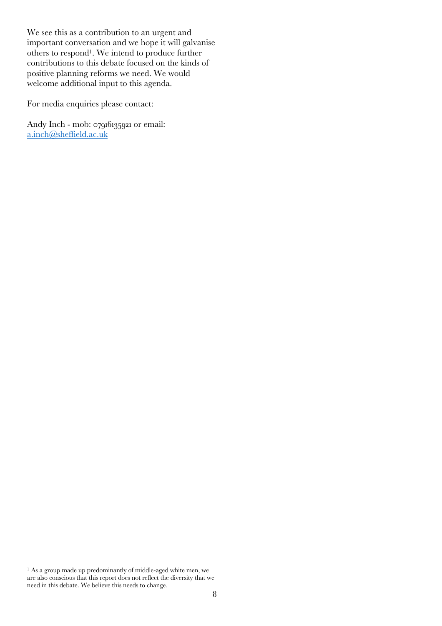We see this as a contribution to an urgent and important conversation and we hope it will galvanise others to respond1. We intend to produce further contributions to this debate focused on the kinds of positive planning reforms we need. We would welcome additional input to this agenda.

For media enquiries please contact:

Andy Inch - mob: 07916135921 or email: a.inch@sheffield.ac.uk

<sup>&</sup>lt;sup>1</sup> As a group made up predominantly of middle-aged white men, we are also conscious that this report does not reflect the diversity that we need in this debate. We believe this needs to change.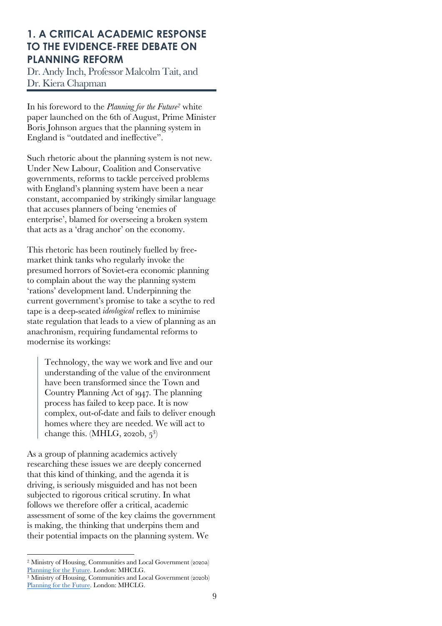# **1. A CRITICAL ACADEMIC RESPONSE TO THE EVIDENCE-FREE DEBATE ON PLANNING REFORM**

Dr. Andy Inch, Professor Malcolm Tait, and Dr. Kiera Chapman

In his foreword to the *Planning for the Future2* white paper launched on the 6th of August, Prime Minister Boris Johnson argues that the planning system in England is "outdated and ineffective".

Such rhetoric about the planning system is not new. Under New Labour, Coalition and Conservative governments, reforms to tackle perceived problems with England's planning system have been a near constant, accompanied by strikingly similar language that accuses planners of being 'enemies of enterprise', blamed for overseeing a broken system that acts as a 'drag anchor' on the economy.

This rhetoric has been routinely fuelled by freemarket think tanks who regularly invoke the presumed horrors of Soviet-era economic planning to complain about the way the planning system 'rations' development land. Underpinning the current government's promise to take a scythe to red tape is a deep-seated *ideological* reflex to minimise state regulation that leads to a view of planning as an anachronism, requiring fundamental reforms to modernise its workings:

Technology, the way we work and live and our understanding of the value of the environment have been transformed since the Town and Country Planning Act of 1947. The planning process has failed to keep pace. It is now complex, out-of-date and fails to deliver enough homes where they are needed. We will act to change this. (MHLG, 2020b,  $5^3$ )

As a group of planning academics actively researching these issues we are deeply concerned that this kind of thinking, and the agenda it is driving, is seriously misguided and has not been subjected to rigorous critical scrutiny. In what follows we therefore offer a critical, academic assessment of some of the key claims the government is making, the thinking that underpins them and their potential impacts on the planning system. We

<sup>2</sup> Ministry of Housing, Communities and Local Government (2020a) Planning for the Future. London: MHCLG.

<sup>&</sup>lt;sup>3</sup> Ministry of Housing, Communities and Local Government (2020b) Planning for the Future. London: MHCLG.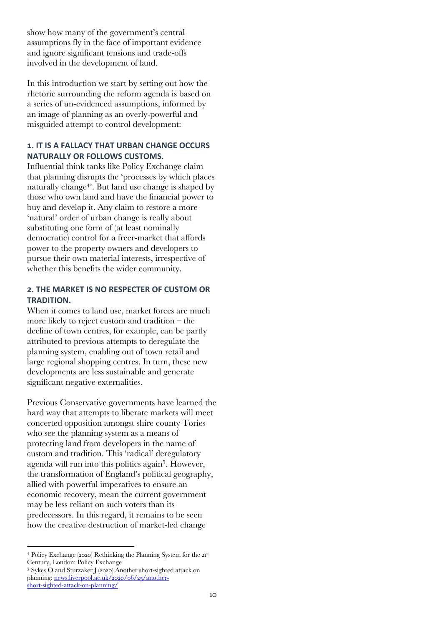show how many of the government's central assumptions fly in the face of important evidence and ignore significant tensions and trade-offs involved in the development of land.

In this introduction we start by setting out how the rhetoric surrounding the reform agenda is based on a series of un-evidenced assumptions, informed by an image of planning as an overly-powerful and misguided attempt to control development:

# **!. IT IS A FALLACY THAT URBAN CHANGE OCCURS NATURALLY OR FOLLOWS CUSTOMS.**

Influential think tanks like Policy Exchange claim that planning disrupts the 'processes by which places naturally change<sup>4</sup>. But land use change is shaped by those who own land and have the financial power to buy and develop it. Any claim to restore a more 'natural' order of urban change is really about substituting one form of (at least nominally democratic) control for a freer-market that affords power to the property owners and developers to pursue their own material interests, irrespective of whether this benefits the wider community.

## **8. THE MARKET IS NO RESPECTER OF CUSTOM OR TRADITION.**

When it comes to land use, market forces are much more likely to reject custom and tradition – the decline of town centres, for example, can be partly attributed to previous attempts to deregulate the planning system, enabling out of town retail and large regional shopping centres. In turn, these new developments are less sustainable and generate significant negative externalities.

Previous Conservative governments have learned the hard way that attempts to liberate markets will meet concerted opposition amongst shire county Tories who see the planning system as a means of protecting land from developers in the name of custom and tradition. This 'radical' deregulatory agenda will run into this politics again<sup>5</sup>. However, the transformation of England's political geography, allied with powerful imperatives to ensure an economic recovery, mean the current government may be less reliant on such voters than its predecessors. In this regard, it remains to be seen how the creative destruction of market-led change

<sup>4</sup> Policy Exchange (2020) Rethinking the Planning System for the 21st Century, London: Policy Exchange

<sup>5</sup> Sykes O and Sturzaker J (2020) Another short-sighted attack on planning: news.liverpool.ac.uk/2020/06/25/anothershort-sighted-attack-on-planning/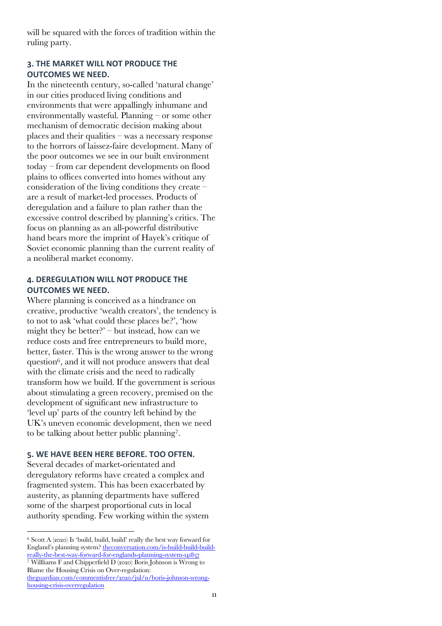will be squared with the forces of tradition within the ruling party.

## **:. THE MARKET WILL NOT PRODUCE THE OUTCOMES WE NEED.**

In the nineteenth century, so-called 'natural change' in our cities produced living conditions and environments that were appallingly inhumane and environmentally wasteful. Planning – or some other mechanism of democratic decision making about places and their qualities – was a necessary response to the horrors of laissez-faire development. Many of the poor outcomes we see in our built environment today – from car dependent developments on flood plains to offices converted into homes without any consideration of the living conditions they create – are a result of market-led processes. Products of deregulation and a failure to plan rather than the excessive control described by planning's critics. The focus on planning as an all-powerful distributive hand bears more the imprint of Hayek's critique of Soviet economic planning than the current reality of a neoliberal market economy.

## **;. DEREGULATION WILL NOT PRODUCE THE OUTCOMES WE NEED.**

Where planning is conceived as a hindrance on creative, productive 'wealth creators', the tendency is to not to ask 'what could these places be?', 'how might they be better?' – but instead, how can we reduce costs and free entrepreneurs to build more, better, faster. This is the wrong answer to the wrong question6, and it will not produce answers that deal with the climate crisis and the need to radically transform how we build. If the government is serious about stimulating a green recovery, premised on the development of significant new infrastructure to 'level up' parts of the country left behind by the UK's uneven economic development, then we need to be talking about better public planning7.

### **=. WE HAVE BEEN HERE BEFORE. TOO OFTEN.**

Several decades of market-orientated and deregulatory reforms have created a complex and fragmented system. This has been exacerbated by austerity, as planning departments have suffered some of the sharpest proportional cuts in local authority spending. Few working within the system

Blame the Housing Crisis on Over-regulation: theguardian.com/commentisfree/2020/jul/11/boris-johnson-wronghousing-crisis-overregulation

<sup>6</sup> Scott A (2020) Is 'build, build, build' really the best way forward for England's planning system? the conversation.com/is-build-build-buildreally-the-best-way-forward-for-englands-planning-system-141857 <sup>7</sup> Willliams F and Chipperfield D (2020) Boris Johnson is Wrong to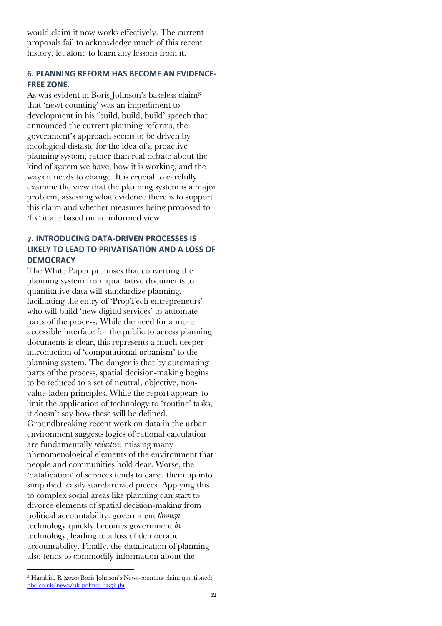would claim it now works effectively. The current proposals fail to acknowledge much of this recent history, let alone to learn any lessons from it.

## **?. PLANNING REFORM HAS BECOME AN EVIDENCE-FREE ZONE.**

As was evident in Boris Johnson's baseless claim8 that 'newt counting' was an impediment to development in his 'build, build, build' speech that announced the current planning reforms, the government's approach seems to be driven by ideological distaste for the idea of a proactive planning system, rather than real debate about the kind of system we have, how it is working, and the ways it needs to change. It is crucial to carefully examine the view that the planning system is a major problem, assessing what evidence there is to support this claim and whether measures being proposed to 'fix' it are based on an informed view.

## **B. INTRODUCING DATA-DRIVEN PROCESSES IS LIKELY TO LEAD TO PRIVATISATION AND A LOSS OF DEMOCRACY**

The White Paper promises that converting the planning system from qualitative documents to quantitative data will standardize planning, facilitating the entry of 'PropTech entrepreneurs' who will build 'new digital services' to automate parts of the process. While the need for a more accessible interface for the public to access planning documents is clear, this represents a much deeper introduction of 'computational urbanism' to the planning system. The danger is that by automating parts of the process, spatial decision-making begins to be reduced to a set of neutral, objective, nonvalue-laden principles. While the report appears to limit the application of technology to 'routine' tasks, it doesn't say how these will be defined. Groundbreaking recent work on data in the urban environment suggests logics of rational calculation are fundamentally *reductive,* missing many phenomenological elements of the environment that people and communities hold dear. Worse, the 'datafication' of services tends to carve them up into simplified, easily standardized pieces. Applying this to complex social areas like planning can start to divorce elements of spatial decision-making from political accountability: government *through*  technology quickly becomes government *by*  technology, leading to a loss of democratic accountability. Finally, the datafication of planning also tends to commodify information about the

<sup>8</sup> Harabin, R (2020) Boris Johnson's Newt-counting claim questioned: bbc.co.uk/news/uk-politics-53276461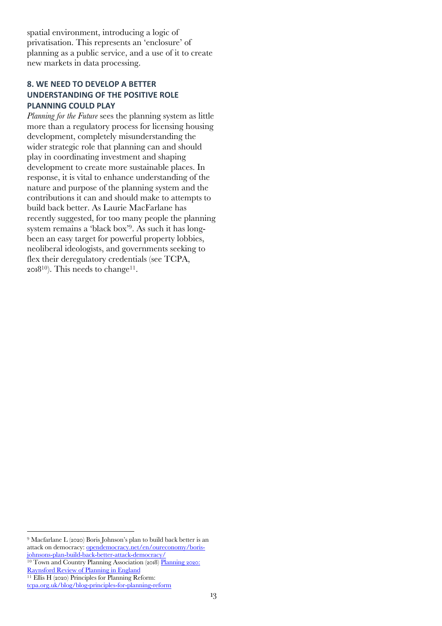spatial environment, introducing a logic of privatisation. This represents an 'enclosure' of planning as a public service, and a use of it to create new markets in data processing.

## **C. WE NEED TO DEVELOP A BETTER UNDERSTANDING OF THE POSITIVE ROLE PLANNING COULD PLAY**

*Planning for the Future* sees the planning system as little more than a regulatory process for licensing housing development, completely misunderstanding the wider strategic role that planning can and should play in coordinating investment and shaping development to create more sustainable places. In response, it is vital to enhance understanding of the nature and purpose of the planning system and the contributions it can and should make to attempts to build back better. As Laurie MacFarlane has recently suggested, for too many people the planning system remains a 'black box'9. As such it has longbeen an easy target for powerful property lobbies, neoliberal ideologists, and governments seeking to flex their deregulatory credentials (see TCPA, 2018<sup>10</sup>). This needs to change<sup>11</sup>.

<sup>10</sup> Town and Country Planning Association (2018) Planning 2020: Raynsford Review of Planning in England

<sup>9</sup> Macfarlane L (2020) Boris Johnson's plan to build back better is an attack on democracy: opendemocracy.net/en/oureconomy/borisjohnsons-plan-build-back-better-attack-democracy/

<sup>11</sup> Ellis H (2020) Principles for Planning Reform:

tcpa.org.uk/blog/blog-principles-for-planning-reform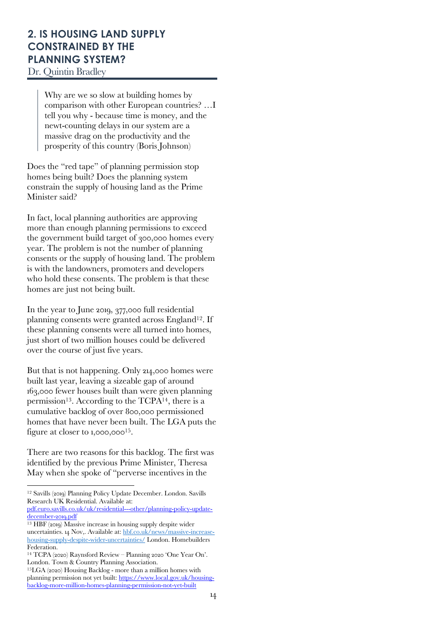# **2. IS HOUSING LAND SUPPLY CONSTRAINED BY THE PLANNING SYSTEM?**

Dr. Quintin Bradley

Why are we so slow at building homes by comparison with other European countries? …I tell you why - because time is money, and the newt-counting delays in our system are a massive drag on the productivity and the prosperity of this country (Boris Johnson)

Does the "red tape" of planning permission stop homes being built? Does the planning system constrain the supply of housing land as the Prime Minister said?

In fact, local planning authorities are approving more than enough planning permissions to exceed the government build target of 300,000 homes every year. The problem is not the number of planning consents or the supply of housing land. The problem is with the landowners, promoters and developers who hold these consents. The problem is that these homes are just not being built.

In the year to June 2019, 377,000 full residential planning consents were granted across England<sup>12</sup>. If these planning consents were all turned into homes, just short of two million houses could be delivered over the course of just five years.

But that is not happening. Only 214,000 homes were built last year, leaving a sizeable gap of around 163,000 fewer houses built than were given planning permission<sup>13</sup>. According to the TCPA<sup>14</sup>, there is a cumulative backlog of over 800,000 permissioned homes that have never been built. The LGA puts the figure at closer to  $1,000,000^{15}$ .

There are two reasons for this backlog. The first was identified by the previous Prime Minister, Theresa May when she spoke of "perverse incentives in the

<sup>12</sup> Savills (2019) Planning Policy Update December. London. Savills Research UK Residential. Available at:

pdf.euro.savills.co.uk/uk/residential---other/planning-policy-updatedecember-2019.pdf

<sup>13</sup> HBF (2019) Massive increase in housing supply despite wider uncertainties. 14 Nov,. Available at: hbf.co.uk/news/massive-increasehousing-supply-despite-wider-uncertainties/ London. Homebuilders Federation.

<sup>14</sup> TCPA (2020) Raynsford Review – Planning 2020 'One Year On'. London. Town & Country Planning Association.

<sup>15</sup>LGA (2020) Housing Backlog - more than a million homes with planning permission not yet built: https://www.local.gov.uk/housingbacklog-more-million-homes-planning-permission-not-yet-built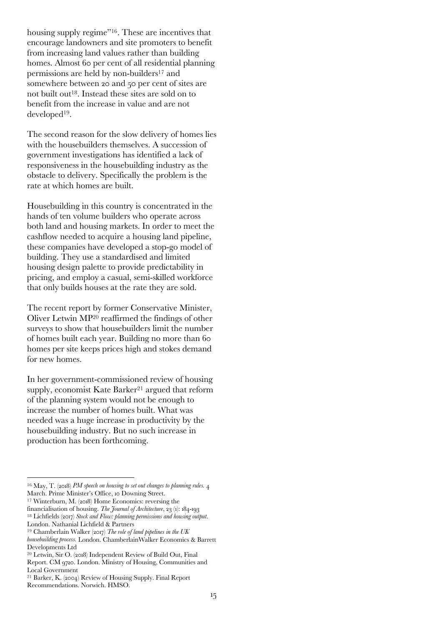housing supply regime"<sup>16</sup>. These are incentives that encourage landowners and site promoters to benefit from increasing land values rather than building homes. Almost 60 per cent of all residential planning permissions are held by non-builders<sup>17</sup> and somewhere between 20 and 50 per cent of sites are not built out18. Instead these sites are sold on to benefit from the increase in value and are not developed19.

The second reason for the slow delivery of homes lies with the housebuilders themselves. A succession of government investigations has identified a lack of responsiveness in the housebuilding industry as the obstacle to delivery. Specifically the problem is the rate at which homes are built.

Housebuilding in this country is concentrated in the hands of ten volume builders who operate across both land and housing markets. In order to meet the cashflow needed to acquire a housing land pipeline, these companies have developed a stop-go model of building. They use a standardised and limited housing design palette to provide predictability in pricing, and employ a casual, semi-skilled workforce that only builds houses at the rate they are sold.

The recent report by former Conservative Minister, Oliver Letwin MP20 reaffirmed the findings of other surveys to show that housebuilders limit the number of homes built each year. Building no more than 60 homes per site keeps prices high and stokes demand for new homes.

In her government-commissioned review of housing supply, economist Kate Barker<sup>21</sup> argued that reform of the planning system would not be enough to increase the number of homes built. What was needed was a huge increase in productivity by the housebuilding industry. But no such increase in production has been forthcoming.

<sup>&</sup>lt;sup>16</sup> May, T. (2018) *PM speech on housing to set out changes to planning rules.* 4 March. Prime Minister's Office, 10 Downing Street.

 $17$  Winterburn, M. (2018) Home Economics: reversing the

financialisation of housing. *The Journal of Architecture*, 23 (1): 184-193 <sup>18</sup> Lichfields (2017) *Stock and Flow: planning permissions and housing output*. London. Nathanial Lichfield & Partners

<sup>19</sup> Chamberlain Walker (2017) *The role of land pipelines in the UK housebuilding process.* London. ChamberlainWalker Economics & Barrett Developments Ltd

<sup>20</sup> Letwin, Sir O. (2018) Independent Review of Build Out, Final Report. CM 9720. London. Ministry of Housing, Communities and Local Government

<sup>21</sup> Barker, K. (2004) Review of Housing Supply. Final Report Recommendations. Norwich. HMSO.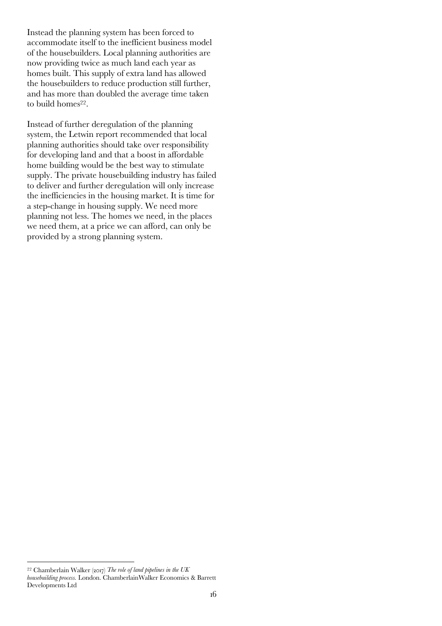Instead the planning system has been forced to accommodate itself to the inefficient business model of the housebuilders. Local planning authorities are now providing twice as much land each year as homes built. This supply of extra land has allowed the housebuilders to reduce production still further, and has more than doubled the average time taken to build homes<sup>22</sup>.

Instead of further deregulation of the planning system, the Letwin report recommended that local planning authorities should take over responsibility for developing land and that a boost in affordable home building would be the best way to stimulate supply. The private housebuilding industry has failed to deliver and further deregulation will only increase the inefficiencies in the housing market. It is time for a step-change in housing supply. We need more planning not less. The homes we need, in the places we need them, at a price we can afford, can only be provided by a strong planning system.

<sup>22</sup> Chamberlain Walker (2017) *The role of land pipelines in the UK housebuilding process.* London. ChamberlainWalker Economics & Barrett Developments Ltd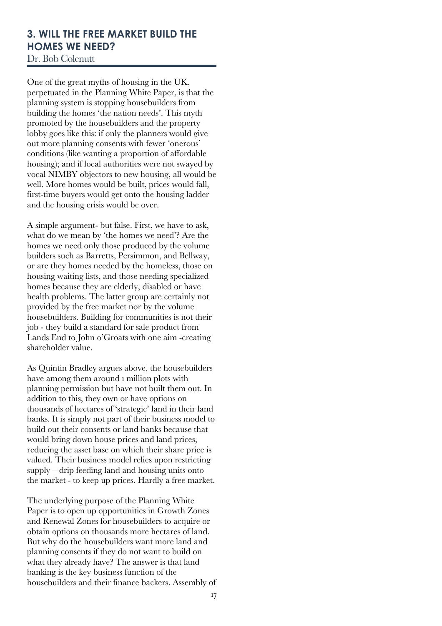# **3. WILL THE FREE MARKET BUILD THE HOMES WE NEED?**

Dr. Bob Colenutt

One of the great myths of housing in the UK, perpetuated in the Planning White Paper, is that the planning system is stopping housebuilders from building the homes 'the nation needs'. This myth promoted by the housebuilders and the property lobby goes like this: if only the planners would give out more planning consents with fewer 'onerous' conditions (like wanting a proportion of affordable housing); and if local authorities were not swayed by vocal NIMBY objectors to new housing, all would be well. More homes would be built, prices would fall, first-time buyers would get onto the housing ladder and the housing crisis would be over.

A simple argument- but false. First, we have to ask, what do we mean by 'the homes we need'? Are the homes we need only those produced by the volume builders such as Barretts, Persimmon, and Bellway, or are they homes needed by the homeless, those on housing waiting lists, and those needing specialized homes because they are elderly, disabled or have health problems. The latter group are certainly not provided by the free market nor by the volume housebuilders. Building for communities is not their job - they build a standard for sale product from Lands End to John o'Groats with one aim -creating shareholder value.

As Quintin Bradley argues above, the housebuilders have among them around 1 million plots with planning permission but have not built them out. In addition to this, they own or have options on thousands of hectares of 'strategic' land in their land banks. It is simply not part of their business model to build out their consents or land banks because that would bring down house prices and land prices, reducing the asset base on which their share price is valued. Their business model relies upon restricting supply – drip feeding land and housing units onto the market - to keep up prices. Hardly a free market.

The underlying purpose of the Planning White Paper is to open up opportunities in Growth Zones and Renewal Zones for housebuilders to acquire or obtain options on thousands more hectares of land. But why do the housebuilders want more land and planning consents if they do not want to build on what they already have? The answer is that land banking is the key business function of the housebuilders and their finance backers. Assembly of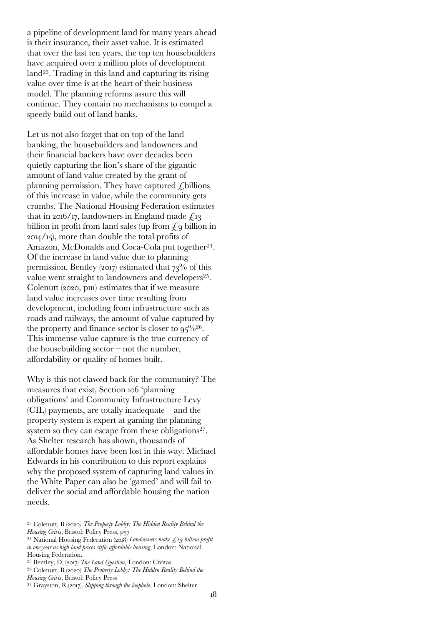a pipeline of development land for many years ahead is their insurance, their asset value. It is estimated that over the last ten years, the top ten housebuilders have acquired over 2 million plots of development land23. Trading in this land and capturing its rising value over time is at the heart of their business model. The planning reforms assure this will continue. They contain no mechanisms to compel a speedy build out of land banks.

Let us not also forget that on top of the land banking, the housebuilders and landowners and their financial backers have over decades been quietly capturing the lion's share of the gigantic amount of land value created by the grant of planning permission. They have captured  $\ell$ billions of this increase in value, while the community gets crumbs. The National Housing Federation estimates that in 2016/17, landowners in England made  $f_{13}$ billion in profit from land sales (up from  $\zeta$ , q billion in 2014/15), more than double the total profits of Amazon, McDonalds and Coca-Cola put together<sup>24</sup>. Of the increase in land value due to planning permission, Bentley (2017) estimated that  $73\%$  of this value went straight to landowners and developers25. Colenutt (2020, p111) estimates that if we measure land value increases over time resulting from development, including from infrastructure such as roads and railways, the amount of value captured by the property and finance sector is closer to  $95\frac{9}{26}$ . This immense value capture is the true currency of the housebuilding sector  $-$  not the number, affordability or quality of homes built.

Why is this not clawed back for the community? The measures that exist, Section 106 'planning obligations' and Community Infrastructure Levy (CIL) payments, are totally inadequate – and the property system is expert at gaming the planning system so they can escape from these obligations<sup>27</sup>. As Shelter research has shown, thousands of affordable homes have been lost in this way. Michael Edwards in his contribution to this report explains why the proposed system of capturing land values in the White Paper can also be 'gamed' and will fail to deliver the social and affordable housing the nation needs.

<sup>23</sup> Colenutt, B (2020*) The Property Lobby: The Hidden Reality Behind the Housing Crisis*, Bristol: Policy Press, p37

<sup>24</sup> National Housing Federation (2018) *Landowners make £13 billion profit in one year as high land prices stifle affordable housing*, London: National Housing Federation.

<sup>25</sup> Bentley, D, (2017) *The Land Question*, London: Civitas

<sup>26</sup> Colenutt, B (2020) *The Property Lobby: The Hidden Reality Behind the Housing Crisis*, Bristol: Policy Press

<sup>27</sup> Grayston, R.(2017), *Slipping through the loophole*, London: Shelter.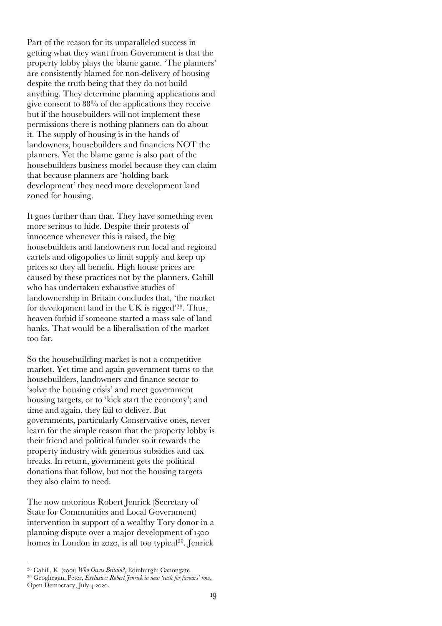Part of the reason for its unparalleled success in getting what they want from Government is that the property lobby plays the blame game. 'The planners' are consistently blamed for non-delivery of housing despite the truth being that they do not build anything. They determine planning applications and give consent to 88% of the applications they receive but if the housebuilders will not implement these permissions there is nothing planners can do about it. The supply of housing is in the hands of landowners, housebuilders and financiers NOT the planners. Yet the blame game is also part of the housebuilders business model because they can claim that because planners are 'holding back development' they need more development land zoned for housing.

It goes further than that. They have something even more serious to hide. Despite their protests of innocence whenever this is raised, the big housebuilders and landowners run local and regional cartels and oligopolies to limit supply and keep up prices so they all benefit. High house prices are caused by these practices not by the planners. Cahill who has undertaken exhaustive studies of landownership in Britain concludes that, 'the market for development land in the UK is rigged'28. Thus, heaven forbid if someone started a mass sale of land banks. That would be a liberalisation of the market too far.

So the housebuilding market is not a competitive market. Yet time and again government turns to the housebuilders, landowners and finance sector to 'solve the housing crisis' and meet government housing targets, or to 'kick start the economy'; and time and again, they fail to deliver. But governments, particularly Conservative ones, never learn for the simple reason that the property lobby is their friend and political funder so it rewards the property industry with generous subsidies and tax breaks. In return, government gets the political donations that follow, but not the housing targets they also claim to need.

The now notorious Robert Jenrick (Secretary of State for Communities and Local Government) intervention in support of a wealthy Tory donor in a planning dispute over a major development of 1500 homes in London in 2020, is all too typical<sup>29</sup>. Jenrick

<sup>28</sup> Cahill, K. (2001) *Who Owns Britain?*, Edinburgh: Canongate. <sup>29</sup> Geoghegan, Peter, *Exclusive: Robert Jenrick in new 'cash for favours' row*, Open Democracy, July 4 2020.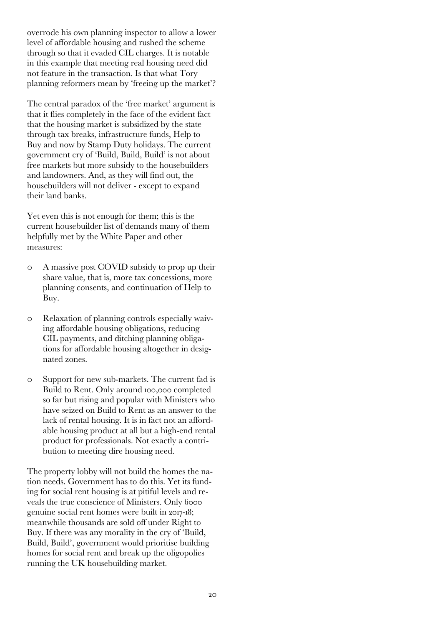overrode his own planning inspector to allow a lower level of affordable housing and rushed the scheme through so that it evaded CIL charges. It is notable in this example that meeting real housing need did not feature in the transaction. Is that what Tory planning reformers mean by 'freeing up the market'?

The central paradox of the 'free market' argument is that it flies completely in the face of the evident fact that the housing market is subsidized by the state through tax breaks, infrastructure funds, Help to Buy and now by Stamp Duty holidays. The current government cry of 'Build, Build, Build' is not about free markets but more subsidy to the housebuilders and landowners. And, as they will find out, the housebuilders will not deliver - except to expand their land banks.

Yet even this is not enough for them; this is the current housebuilder list of demands many of them helpfully met by the White Paper and other measures:

- o A massive post COVID subsidy to prop up their share value, that is, more tax concessions, more planning consents, and continuation of Help to Buy.
- o Relaxation of planning controls especially waiving affordable housing obligations, reducing CIL payments, and ditching planning obligations for affordable housing altogether in designated zones.
- o Support for new sub-markets. The current fad is Build to Rent. Only around 100,000 completed so far but rising and popular with Ministers who have seized on Build to Rent as an answer to the lack of rental housing. It is in fact not an affordable housing product at all but a high-end rental product for professionals. Not exactly a contribution to meeting dire housing need.

The property lobby will not build the homes the nation needs. Government has to do this. Yet its funding for social rent housing is at pitiful levels and reveals the true conscience of Ministers. Only 6000 genuine social rent homes were built in 2017-18; meanwhile thousands are sold off under Right to Buy. If there was any morality in the cry of 'Build, Build, Build', government would prioritise building homes for social rent and break up the oligopolies running the UK housebuilding market.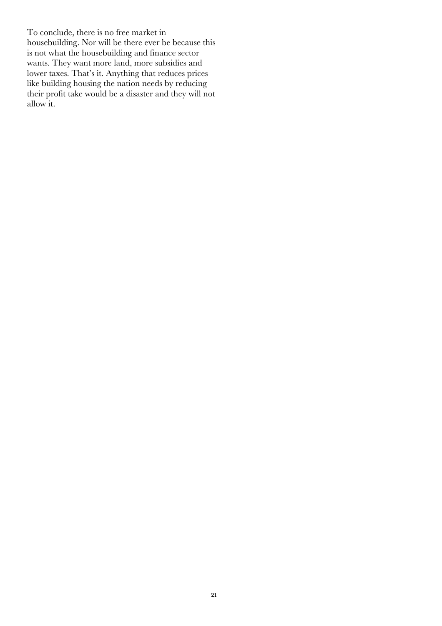To conclude, there is no free market in housebuilding. Nor will be there ever be because this is not what the housebuilding and finance sector wants. They want more land, more subsidies and lower taxes. That's it. Anything that reduces prices like building housing the nation needs by reducing their profit take would be a disaster and they will not allow it.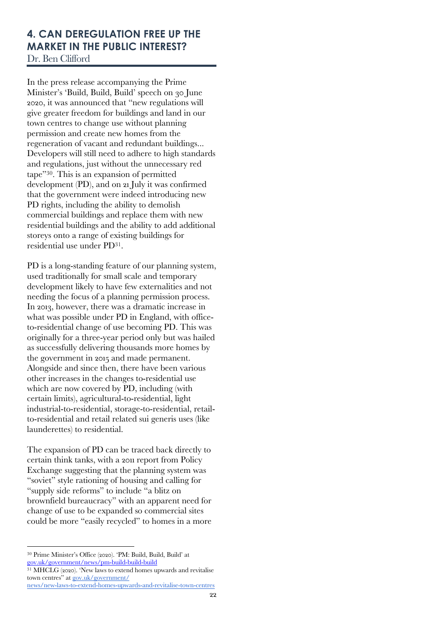# **4. CAN DEREGULATION FREE UP THE MARKET IN THE PUBLIC INTEREST?** Dr. Ben Clifford

In the press release accompanying the Prime Minister's 'Build, Build, Build' speech on 30 June 2020, it was announced that "new regulations will give greater freedom for buildings and land in our town centres to change use without planning permission and create new homes from the regeneration of vacant and redundant buildings... Developers will still need to adhere to high standards and regulations, just without the unnecessary red tape"30. This is an expansion of permitted development (PD), and on 21 July it was confirmed that the government were indeed introducing new PD rights, including the ability to demolish commercial buildings and replace them with new residential buildings and the ability to add additional storeys onto a range of existing buildings for residential use under PD31.

PD is a long-standing feature of our planning system, used traditionally for small scale and temporary development likely to have few externalities and not needing the focus of a planning permission process. In 2013, however, there was a dramatic increase in what was possible under PD in England, with officeto-residential change of use becoming PD. This was originally for a three-year period only but was hailed as successfully delivering thousands more homes by the government in 2015 and made permanent. Alongside and since then, there have been various other increases in the changes to-residential use which are now covered by PD, including (with certain limits), agricultural-to-residential, light industrial-to-residential, storage-to-residential, retailto-residential and retail related sui generis uses (like launderettes) to residential.

The expansion of PD can be traced back directly to certain think tanks, with a 2011 report from Policy Exchange suggesting that the planning system was "soviet" style rationing of housing and calling for "supply side reforms" to include "a blitz on brownfield bureaucracy" with an apparent need for change of use to be expanded so commercial sites could be more "easily recycled" to homes in a more

<sup>30</sup> Prime Minister's Office (2020). 'PM: Build, Build, Build' at gov.uk/government/news/pm-build-build-build

<sup>&</sup>lt;sup>31</sup> MHCLG (2020). 'New laws to extend homes upwards and revitalise town centres" at gov.uk/government/

news/new-laws-to-extend-homes-upwards-and-revitalise-town-centres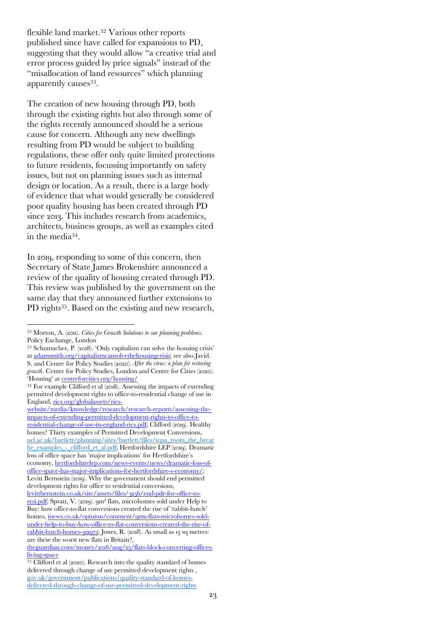flexible land market.32 Various other reports published since have called for expansions to PD, suggesting that they would allow "a creative trial and error process guided by price signals" instead of the "misallocation of land resources" which planning apparently causes<sup>33</sup>.

The creation of new housing through PD, both through the existing rights but also through some of the rights recently announced should be a serious cause for concern. Although any new dwellings resulting from PD would be subject to building regulations, these offer only quite limited protections to future residents, focussing importantly on safety issues, but not on planning issues such as internal design or location. As a result, there is a large body of evidence that what would generally be considered poor quality housing has been created through PD since 2013. This includes research from academics, architects, business groups, as well as examples cited in the media34.

In 2019, responding to some of this concern, then Secretary of State James Brokenshire announced a review of the quality of housing created through PD. This review was published by the government on the same day that they announced further extensions to PD rights<sup>35</sup>. Based on the existing and new research,

<sup>32</sup> Morton, A. (2011). *Cities for Growth Solutions to our planning problems*. Policy Exchange, London

<sup>33</sup> Schumacher, P. (2018). 'Only capitalism can solve the housing crisis' at adamsmith.org/capitalismcansolvethehousingcrisis; see also Javid. S. and Centre for Policy Studies (2020). *After the virus: a plan for restoring growth*. Centre for Policy Studies, London and Centre for Cities (2020). 'Housing' at centreforcities.org/housing/

<sup>34</sup> For example Clifford et al (2018). Assessing the impacts of extending permitted development rights to office-to-residential change of use in England, rics.org/globalassets/rics-

website/media/knowledge/research/research-reports/assessing-theimpacts-of-extending-permitted-development-rights-to-office-toresidential-change-of-use-in-england-rics.pdf; Clifford (2019). Healthy homes? Thirty examples of Permitted Development Conversions, ucl.ac.uk/bartlett/planning/sites/bartlett/files/tcpa\_room\_the\_breat he\_examples\_-\_clifford\_et\_al.pdf; Hertfordshire LEP (2019). Dramatic loss of office space has 'major implications' for Hertfordshire's economy, hertfordshirelep.com/news-events/news/dramatic-loss-ofoffice-space-has-major-implications-for-hertfordshire-s-economy/; Levitt Bernstein (2019). Why the government should end permitted development rights for office to residential conversions, levittbernstein.co.uk/site/assets/files/3256/end-pdr-for-office-toresi.pdf; Spratt, V. (2019). 9m² flats, microhomes sold under Help to Buy: how office-to-flat conversions created the rise of 'rabbit-hutch' homes, inews.co.uk/opinion/comment/9m2-flats-microhomes-soldunder-help-to-buy-how-office-to-flat-conversions-created-the-rise-ofrabbit-hutch-homes-312973; Jones, R. (2018). As small as 13 sq metres:

are these the worst new flats in Britain?, theguardian.com/money/2018/aug/25/flats-block-converting-offices-

living-space

<sup>&</sup>lt;sup>35</sup> Clifford et al (2020). Research into the quality standard of homes delivered through change of use permitted development rights , gov.uk/government/publications/quality-standard-of-homesdelivered-through-change-of-use-permitted-development-rights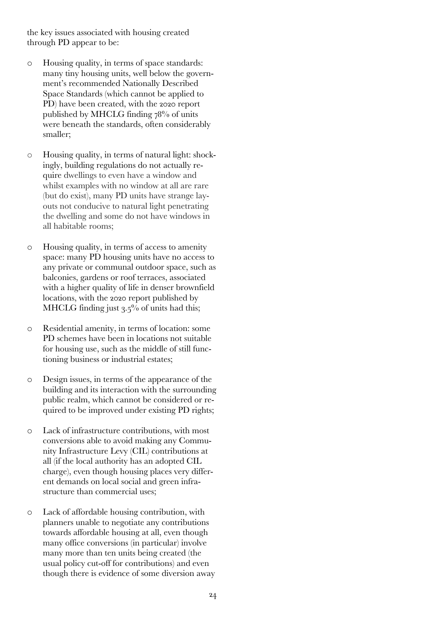the key issues associated with housing created through PD appear to be:

- o Housing quality, in terms of space standards: many tiny housing units, well below the government's recommended Nationally Described Space Standards (which cannot be applied to PD) have been created, with the 2020 report published by MHCLG finding 78% of units were beneath the standards, often considerably smaller;
- o Housing quality, in terms of natural light: shockingly, building regulations do not actually require dwellings to even have a window and whilst examples with no window at all are rare (but do exist), many PD units have strange layouts not conducive to natural light penetrating the dwelling and some do not have windows in all habitable rooms;
- o Housing quality, in terms of access to amenity space: many PD housing units have no access to any private or communal outdoor space, such as balconies, gardens or roof terraces, associated with a higher quality of life in denser brownfield locations, with the 2020 report published by MHCLG finding just 3.5% of units had this;
- o Residential amenity, in terms of location: some PD schemes have been in locations not suitable for housing use, such as the middle of still functioning business or industrial estates;
- o Design issues, in terms of the appearance of the building and its interaction with the surrounding public realm, which cannot be considered or required to be improved under existing PD rights;
- o Lack of infrastructure contributions, with most conversions able to avoid making any Community Infrastructure Levy (CIL) contributions at all (if the local authority has an adopted CIL charge), even though housing places very different demands on local social and green infrastructure than commercial uses;
- o Lack of affordable housing contribution, with planners unable to negotiate any contributions towards affordable housing at all, even though many office conversions (in particular) involve many more than ten units being created (the usual policy cut-off for contributions) and even though there is evidence of some diversion away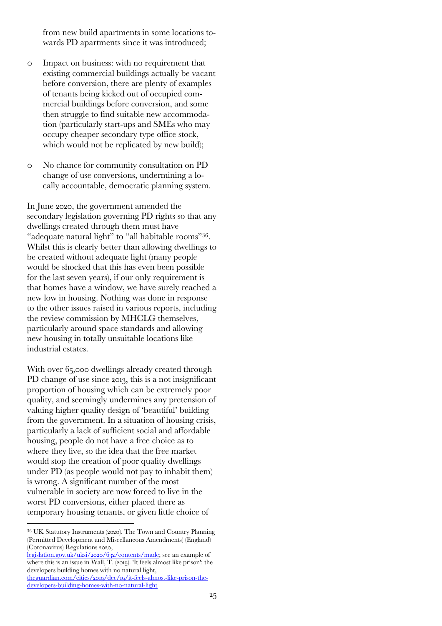from new build apartments in some locations towards PD apartments since it was introduced;

- o Impact on business: with no requirement that existing commercial buildings actually be vacant before conversion, there are plenty of examples of tenants being kicked out of occupied commercial buildings before conversion, and some then struggle to find suitable new accommodation (particularly start-ups and SMEs who may occupy cheaper secondary type office stock, which would not be replicated by new build);
- o No chance for community consultation on PD change of use conversions, undermining a locally accountable, democratic planning system.

In June 2020, the government amended the secondary legislation governing PD rights so that any dwellings created through them must have "adequate natural light" to "all habitable rooms"36. Whilst this is clearly better than allowing dwellings to be created without adequate light (many people would be shocked that this has even been possible for the last seven years), if our only requirement is that homes have a window, we have surely reached a new low in housing. Nothing was done in response to the other issues raised in various reports, including the review commission by MHCLG themselves, particularly around space standards and allowing new housing in totally unsuitable locations like industrial estates.

With over 65,000 dwellings already created through PD change of use since 2013, this is a not insignificant proportion of housing which can be extremely poor quality, and seemingly undermines any pretension of valuing higher quality design of 'beautiful' building from the government. In a situation of housing crisis, particularly a lack of sufficient social and affordable housing, people do not have a free choice as to where they live, so the idea that the free market would stop the creation of poor quality dwellings under PD (as people would not pay to inhabit them) is wrong. A significant number of the most vulnerable in society are now forced to live in the worst PD conversions, either placed there as temporary housing tenants, or given little choice of

<sup>36</sup> UK Statutory Instruments (2020). The Town and Country Planning (Permitted Development and Miscellaneous Amendments) (England) (Coronavirus) Regulations 2020,

legislation.gov.uk/uksi/2020/632/contents/made; see an example of where this is an issue in Wall, T. (2019). 'It feels almost like prison': the developers building homes with no natural light, theguardian.com/cities/2019/dec/19/it-feels-almost-like-prison-thedevelopers-building-homes-with-no-natural-light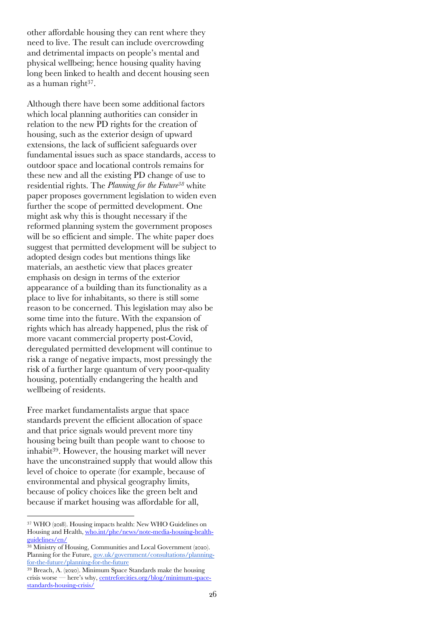other affordable housing they can rent where they need to live. The result can include overcrowding and detrimental impacts on people's mental and physical wellbeing; hence housing quality having long been linked to health and decent housing seen as a human right<sup>37</sup>.

Although there have been some additional factors which local planning authorities can consider in relation to the new PD rights for the creation of housing, such as the exterior design of upward extensions, the lack of sufficient safeguards over fundamental issues such as space standards, access to outdoor space and locational controls remains for these new and all the existing PD change of use to residential rights. The *Planning for the Future38* white paper proposes government legislation to widen even further the scope of permitted development. One might ask why this is thought necessary if the reformed planning system the government proposes will be so efficient and simple. The white paper does suggest that permitted development will be subject to adopted design codes but mentions things like materials, an aesthetic view that places greater emphasis on design in terms of the exterior appearance of a building than its functionality as a place to live for inhabitants, so there is still some reason to be concerned. This legislation may also be some time into the future. With the expansion of rights which has already happened, plus the risk of more vacant commercial property post-Covid, deregulated permitted development will continue to risk a range of negative impacts, most pressingly the risk of a further large quantum of very poor-quality housing, potentially endangering the health and wellbeing of residents.

Free market fundamentalists argue that space standards prevent the efficient allocation of space and that price signals would prevent more tiny housing being built than people want to choose to inhabit39. However, the housing market will never have the unconstrained supply that would allow this level of choice to operate (for example, because of environmental and physical geography limits, because of policy choices like the green belt and because if market housing was affordable for all,

<sup>37</sup> WHO (2018). Housing impacts health: New WHO Guidelines on Housing and Health, who.int/phe/news/note-media-housing-healthguidelines/en/

<sup>&</sup>lt;sup>38</sup> Ministry of Housing, Communities and Local Government (2020). Planning for the Future, gov.uk/government/consultations/planningfor-the-future/planning-for-the-future

<sup>39</sup> Breach, A. (2020). Minimum Space Standards make the housing crisis worse — here's why, centreforcities.org/blog/minimum-spacestandards-housing-crisis/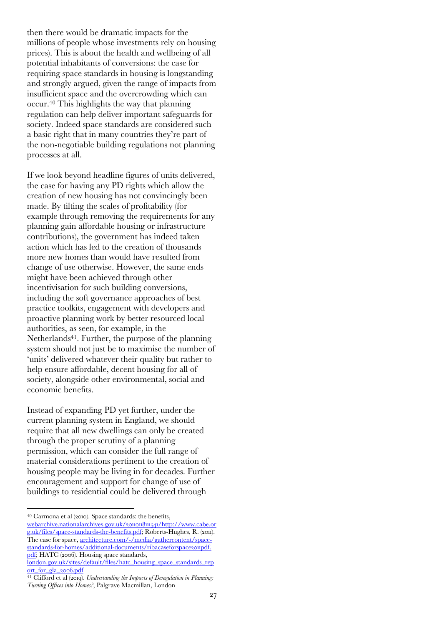then there would be dramatic impacts for the millions of people whose investments rely on housing prices). This is about the health and wellbeing of all potential inhabitants of conversions: the case for requiring space standards in housing is longstanding and strongly argued, given the range of impacts from insufficient space and the overcrowding which can occur.40 This highlights the way that planning regulation can help deliver important safeguards for society. Indeed space standards are considered such a basic right that in many countries they're part of the non-negotiable building regulations not planning processes at all.

If we look beyond headline figures of units delivered, the case for having any PD rights which allow the creation of new housing has not convincingly been made. By tilting the scales of profitability (for example through removing the requirements for any planning gain affordable housing or infrastructure contributions), the government has indeed taken action which has led to the creation of thousands more new homes than would have resulted from change of use otherwise. However, the same ends might have been achieved through other incentivisation for such building conversions, including the soft governance approaches of best practice toolkits, engagement with developers and proactive planning work by better resourced local authorities, as seen, for example, in the Netherlands41. Further, the purpose of the planning system should not just be to maximise the number of 'units' delivered whatever their quality but rather to help ensure affordable, decent housing for all of society, alongside other environmental, social and economic benefits.

Instead of expanding PD yet further, under the current planning system in England, we should require that all new dwellings can only be created through the proper scrutiny of a planning permission, which can consider the full range of material considerations pertinent to the creation of housing people may be living in for decades. Further encouragement and support for change of use of buildings to residential could be delivered through

<sup>40</sup> Carmona et al (2010). Space standards: the benefits, webarchive.nationalarchives.gov.uk/2011011811541/http://www.cabe.or

g.uk/files/space-standards-the-benefits.pdf; Roberts-Hughes, R. (2011). The case for space, architecture.com/-/media/gathercontent/spacestandards-for-homes/additional-documents/ribacaseforspace2011pdf. pdf; HATC (2006). Housing space standards,

london.gov.uk/sites/default/files/hatc\_housing\_space\_standards\_rep ort\_for\_gla\_2006.pdf

<sup>41</sup> Clifford et al (2019). *Understanding the Impacts of Deregulation in Planning: Turning Offices into Homes?*, Palgrave Macmillan, London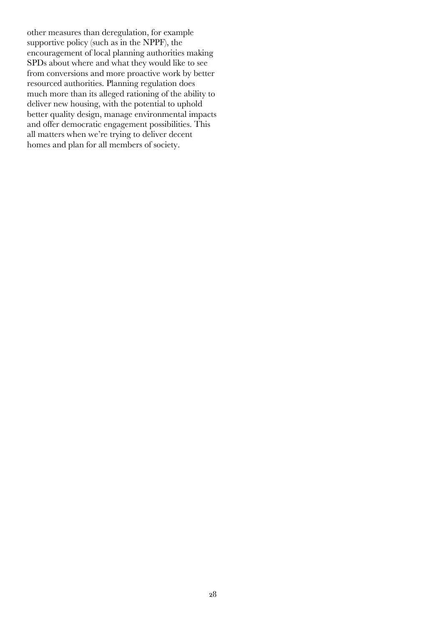other measures than deregulation, for example supportive policy (such as in the NPPF), the encouragement of local planning authorities making SPDs about where and what they would like to see from conversions and more proactive work by better resourced authorities. Planning regulation does much more than its alleged rationing of the ability to deliver new housing, with the potential to uphold better quality design, manage environmental impacts and offer democratic engagement possibilities. This all matters when we're trying to deliver decent homes and plan for all members of society.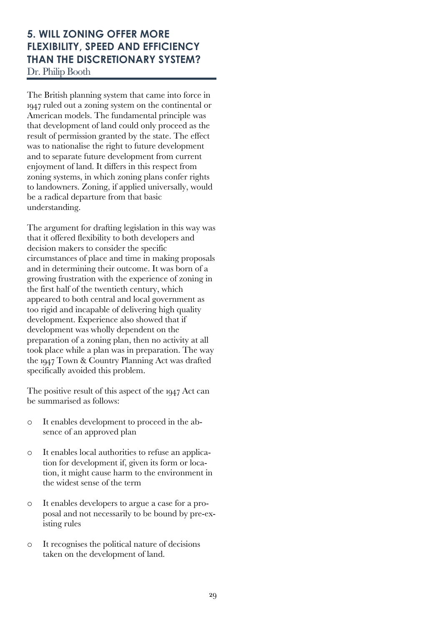# **5. WILL ZONING OFFER MORE FLEXIBILITY, SPEED AND EFFICIENCY THAN THE DISCRETIONARY SYSTEM?**

Dr. Philip Booth

The British planning system that came into force in 1947 ruled out a zoning system on the continental or American models. The fundamental principle was that development of land could only proceed as the result of permission granted by the state. The effect was to nationalise the right to future development and to separate future development from current enjoyment of land. It differs in this respect from zoning systems, in which zoning plans confer rights to landowners. Zoning, if applied universally, would be a radical departure from that basic understanding.

The argument for drafting legislation in this way was that it offered flexibility to both developers and decision makers to consider the specific circumstances of place and time in making proposals and in determining their outcome. It was born of a growing frustration with the experience of zoning in the first half of the twentieth century, which appeared to both central and local government as too rigid and incapable of delivering high quality development. Experience also showed that if development was wholly dependent on the preparation of a zoning plan, then no activity at all took place while a plan was in preparation. The way the 1947 Town & Country Planning Act was drafted specifically avoided this problem.

The positive result of this aspect of the 1947 Act can be summarised as follows:

- o It enables development to proceed in the absence of an approved plan
- It enables local authorities to refuse an application for development if, given its form or location, it might cause harm to the environment in the widest sense of the term
- o It enables developers to argue a case for a proposal and not necessarily to be bound by pre-existing rules
- o It recognises the political nature of decisions taken on the development of land.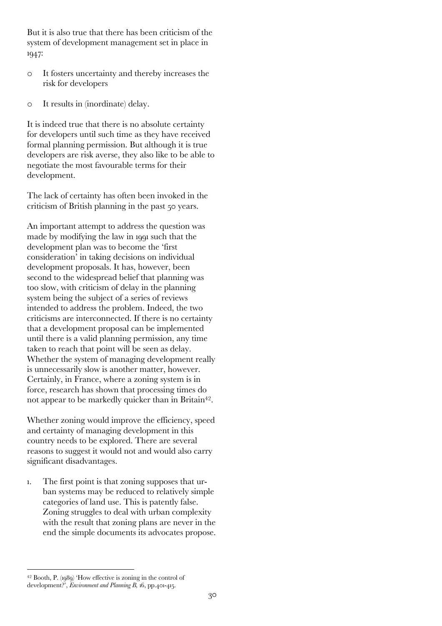But it is also true that there has been criticism of the system of development management set in place in 1947:

- o It fosters uncertainty and thereby increases the risk for developers
- o It results in (inordinate) delay.

It is indeed true that there is no absolute certainty for developers until such time as they have received formal planning permission. But although it is true developers are risk averse, they also like to be able to negotiate the most favourable terms for their development.

The lack of certainty has often been invoked in the criticism of British planning in the past 50 years.

An important attempt to address the question was made by modifying the law in 1991 such that the development plan was to become the 'first consideration' in taking decisions on individual development proposals. It has, however, been second to the widespread belief that planning was too slow, with criticism of delay in the planning system being the subject of a series of reviews intended to address the problem. Indeed, the two criticisms are interconnected. If there is no certainty that a development proposal can be implemented until there is a valid planning permission, any time taken to reach that point will be seen as delay. Whether the system of managing development really is unnecessarily slow is another matter, however. Certainly, in France, where a zoning system is in force, research has shown that processing times do not appear to be markedly quicker than in Britain<sup>42</sup>.

Whether zoning would improve the efficiency, speed and certainty of managing development in this country needs to be explored. There are several reasons to suggest it would not and would also carry significant disadvantages.

1. The first point is that zoning supposes that urban systems may be reduced to relatively simple categories of land use. This is patently false. Zoning struggles to deal with urban complexity with the result that zoning plans are never in the end the simple documents its advocates propose.

<sup>42</sup> Booth, P. (1989) 'How effective is zoning in the control of development?', *Environment and Planning B,* 16, pp.401-415.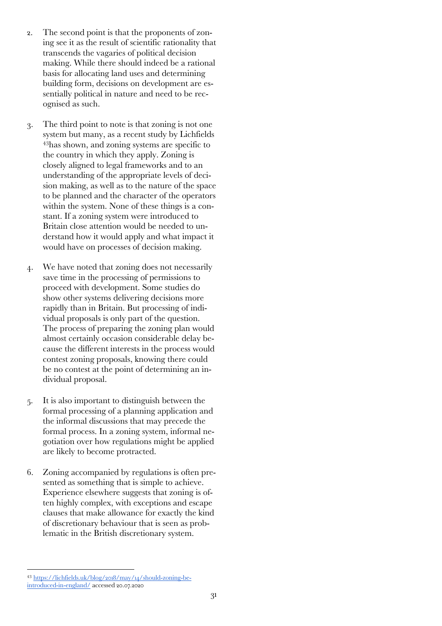- 2. The second point is that the proponents of zoning see it as the result of scientific rationality that transcends the vagaries of political decision making. While there should indeed be a rational basis for allocating land uses and determining building form, decisions on development are essentially political in nature and need to be recognised as such.
- 3. The third point to note is that zoning is not one system but many, as a recent study by Lichfields 43has shown, and zoning systems are specific to the country in which they apply. Zoning is closely aligned to legal frameworks and to an understanding of the appropriate levels of decision making, as well as to the nature of the space to be planned and the character of the operators within the system. None of these things is a constant. If a zoning system were introduced to Britain close attention would be needed to understand how it would apply and what impact it would have on processes of decision making.
- 4. We have noted that zoning does not necessarily save time in the processing of permissions to proceed with development. Some studies do show other systems delivering decisions more rapidly than in Britain. But processing of individual proposals is only part of the question. The process of preparing the zoning plan would almost certainly occasion considerable delay because the different interests in the process would contest zoning proposals, knowing there could be no contest at the point of determining an individual proposal.
- 5. It is also important to distinguish between the formal processing of a planning application and the informal discussions that may precede the formal process. In a zoning system, informal negotiation over how regulations might be applied are likely to become protracted.
- 6. Zoning accompanied by regulations is often presented as something that is simple to achieve. Experience elsewhere suggests that zoning is often highly complex, with exceptions and escape clauses that make allowance for exactly the kind of discretionary behaviour that is seen as problematic in the British discretionary system.

<sup>43</sup> https://lichfields.uk/blog/2018/may/14/should-zoning-beintroduced-in-england/ accessed 20.07.2020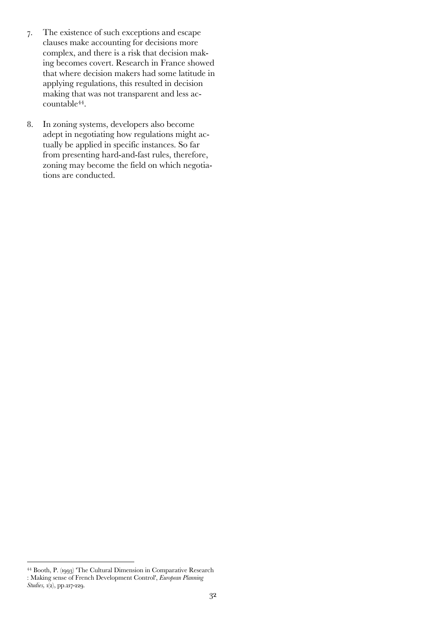- 7. The existence of such exceptions and escape clauses make accounting for decisions more complex, and there is a risk that decision making becomes covert. Research in France showed that where decision makers had some latitude in applying regulations, this resulted in decision making that was not transparent and less accountable44.
- 8. In zoning systems, developers also become adept in negotiating how regulations might actually be applied in specific instances. So far from presenting hard-and-fast rules, therefore, zoning may become the field on which negotiations are conducted.

<sup>44</sup> Booth, P. (1993) 'The Cultural Dimension in Comparative Research : Making sense of French Development Control', *European Planning Studies,* 1(2), pp.217-229.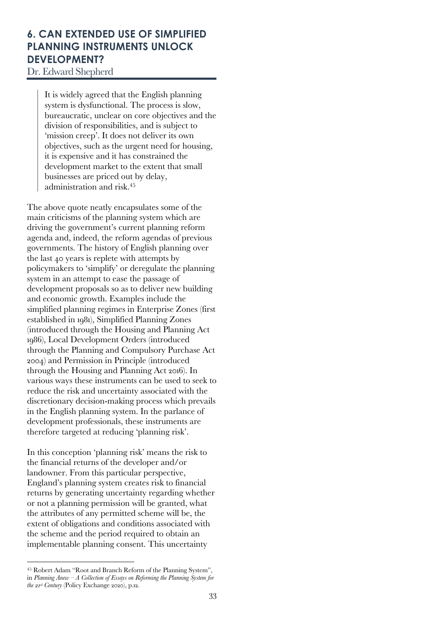# **6. CAN EXTENDED USE OF SIMPLIFIED PLANNING INSTRUMENTS UNLOCK DEVELOPMENT?**

Dr. Edward Shepherd

It is widely agreed that the English planning system is dysfunctional. The process is slow, bureaucratic, unclear on core objectives and the division of responsibilities, and is subject to 'mission creep'. It does not deliver its own objectives, such as the urgent need for housing, it is expensive and it has constrained the development market to the extent that small businesses are priced out by delay, administration and risk.45

The above quote neatly encapsulates some of the main criticisms of the planning system which are driving the government's current planning reform agenda and, indeed, the reform agendas of previous governments. The history of English planning over the last 40 years is replete with attempts by policymakers to 'simplify' or deregulate the planning system in an attempt to ease the passage of development proposals so as to deliver new building and economic growth. Examples include the simplified planning regimes in Enterprise Zones (first established in 1981), Simplified Planning Zones (introduced through the Housing and Planning Act 1986), Local Development Orders (introduced through the Planning and Compulsory Purchase Act 2004) and Permission in Principle (introduced through the Housing and Planning Act 2016). In various ways these instruments can be used to seek to reduce the risk and uncertainty associated with the discretionary decision-making process which prevails in the English planning system. In the parlance of development professionals, these instruments are therefore targeted at reducing 'planning risk'.

In this conception 'planning risk' means the risk to the financial returns of the developer and/or landowner. From this particular perspective, England's planning system creates risk to financial returns by generating uncertainty regarding whether or not a planning permission will be granted, what the attributes of any permitted scheme will be, the extent of obligations and conditions associated with the scheme and the period required to obtain an implementable planning consent. This uncertainty

<sup>45</sup> Robert Adam "Root and Branch Reform of the Planning System", in *Planning Anew – A Collection of Essays on Reforming the Planning System for the 21st Century* (Policy Exchange 2020), p.12.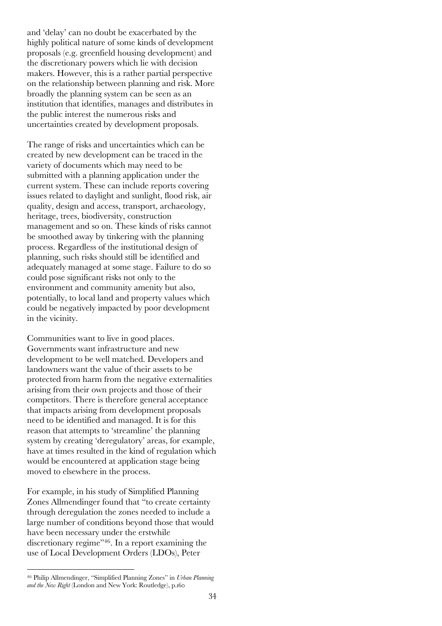and 'delay' can no doubt be exacerbated by the highly political nature of some kinds of development proposals (e.g. greenfield housing development) and the discretionary powers which lie with decision makers. However, this is a rather partial perspective on the relationship between planning and risk. More broadly the planning system can be seen as an institution that identifies, manages and distributes in the public interest the numerous risks and uncertainties created by development proposals.

The range of risks and uncertainties which can be created by new development can be traced in the variety of documents which may need to be submitted with a planning application under the current system. These can include reports covering issues related to daylight and sunlight, flood risk, air quality, design and access, transport, archaeology, heritage, trees, biodiversity, construction management and so on. These kinds of risks cannot be smoothed away by tinkering with the planning process. Regardless of the institutional design of planning, such risks should still be identified and adequately managed at some stage. Failure to do so could pose significant risks not only to the environment and community amenity but also, potentially, to local land and property values which could be negatively impacted by poor development in the vicinity.

Communities want to live in good places. Governments want infrastructure and new development to be well matched. Developers and landowners want the value of their assets to be protected from harm from the negative externalities arising from their own projects and those of their competitors. There is therefore general acceptance that impacts arising from development proposals need to be identified and managed. It is for this reason that attempts to 'streamline' the planning system by creating 'deregulatory' areas, for example, have at times resulted in the kind of regulation which would be encountered at application stage being moved to elsewhere in the process.

For example, in his study of Simplified Planning Zones Allmendinger found that "to create certainty through deregulation the zones needed to include a large number of conditions beyond those that would have been necessary under the erstwhile discretionary regime"46. In a report examining the use of Local Development Orders (LDOs), Peter

<sup>46</sup> Philip Allmendinger, "Simplified Planning Zones" in *Urban Planning and the New Right* (London and New York: Routledge), p.160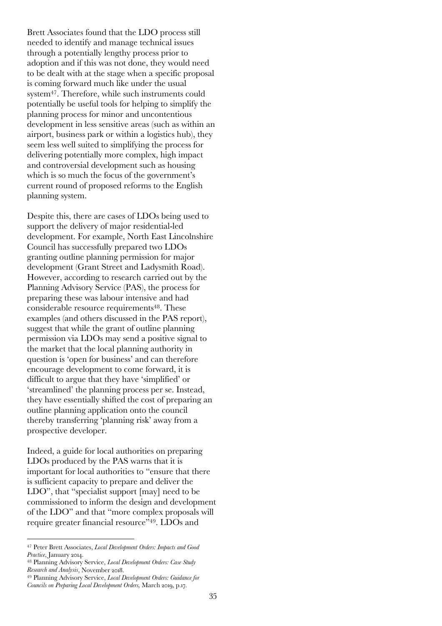Brett Associates found that the LDO process still needed to identify and manage technical issues through a potentially lengthy process prior to adoption and if this was not done, they would need to be dealt with at the stage when a specific proposal is coming forward much like under the usual system47. Therefore, while such instruments could potentially be useful tools for helping to simplify the planning process for minor and uncontentious development in less sensitive areas (such as within an airport, business park or within a logistics hub), they seem less well suited to simplifying the process for delivering potentially more complex, high impact and controversial development such as housing which is so much the focus of the government's current round of proposed reforms to the English planning system.

Despite this, there are cases of LDOs being used to support the delivery of major residential-led development. For example, North East Lincolnshire Council has successfully prepared two LDOs granting outline planning permission for major development (Grant Street and Ladysmith Road). However, according to research carried out by the Planning Advisory Service (PAS), the process for preparing these was labour intensive and had considerable resource requirements48. These examples (and others discussed in the PAS report), suggest that while the grant of outline planning permission via LDOs may send a positive signal to the market that the local planning authority in question is 'open for business' and can therefore encourage development to come forward, it is difficult to argue that they have 'simplified' or 'streamlined' the planning process per se. Instead, they have essentially shifted the cost of preparing an outline planning application onto the council thereby transferring 'planning risk' away from a prospective developer.

Indeed, a guide for local authorities on preparing LDOs produced by the PAS warns that it is important for local authorities to "ensure that there is sufficient capacity to prepare and deliver the LDO", that "specialist support [may] need to be commissioned to inform the design and development of the LDO" and that "more complex proposals will require greater financial resource"49. LDOs and

<sup>47</sup> Peter Brett Associates, *Local Development Orders: Impacts and Good Practice*, January 2014.

<sup>48</sup> Planning Advisory Service, *Local Development Orders: Case Study Research and Analysis*, November 2018.

<sup>49</sup> Planning Advisory Service, *Local Development Orders: Guidance for Councils on Preparing Local Development Orders,* March 2019, p.17.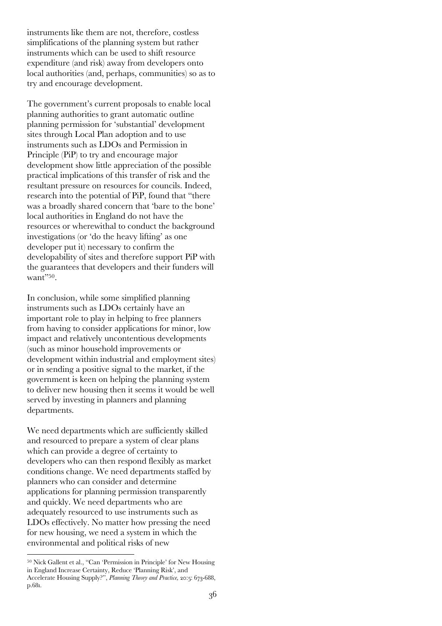instruments like them are not, therefore, costless simplifications of the planning system but rather instruments which can be used to shift resource expenditure (and risk) away from developers onto local authorities (and, perhaps, communities) so as to try and encourage development.

The government's current proposals to enable local planning authorities to grant automatic outline planning permission for 'substantial' development sites through Local Plan adoption and to use instruments such as LDOs and Permission in Principle (PiP) to try and encourage major development show little appreciation of the possible practical implications of this transfer of risk and the resultant pressure on resources for councils. Indeed, research into the potential of PiP, found that "there was a broadly shared concern that 'bare to the bone' local authorities in England do not have the resources or wherewithal to conduct the background investigations (or 'do the heavy lifting' as one developer put it) necessary to confirm the developability of sites and therefore support PiP with the guarantees that developers and their funders will want"<sup>50</sup>.

In conclusion, while some simplified planning instruments such as LDOs certainly have an important role to play in helping to free planners from having to consider applications for minor, low impact and relatively uncontentious developments (such as minor household improvements or development within industrial and employment sites) or in sending a positive signal to the market, if the government is keen on helping the planning system to deliver new housing then it seems it would be well served by investing in planners and planning departments.

We need departments which are sufficiently skilled and resourced to prepare a system of clear plans which can provide a degree of certainty to developers who can then respond flexibly as market conditions change. We need departments staffed by planners who can consider and determine applications for planning permission transparently and quickly. We need departments who are adequately resourced to use instruments such as LDOs effectively. No matter how pressing the need for new housing, we need a system in which the environmental and political risks of new

<sup>50</sup> Nick Gallent et al., "Can 'Permission in Principle' for New Housing in England Increase Certainty, Reduce 'Planning Risk', and Accelerate Housing Supply?", *Planning Theory and Practice,* 20:5: 673-688, p.681.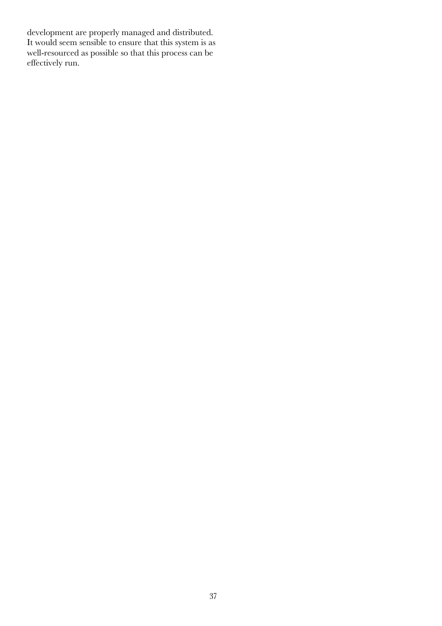development are properly managed and distributed. It would seem sensible to ensure that this system is as well-resourced as possible so that this process can be effectively run.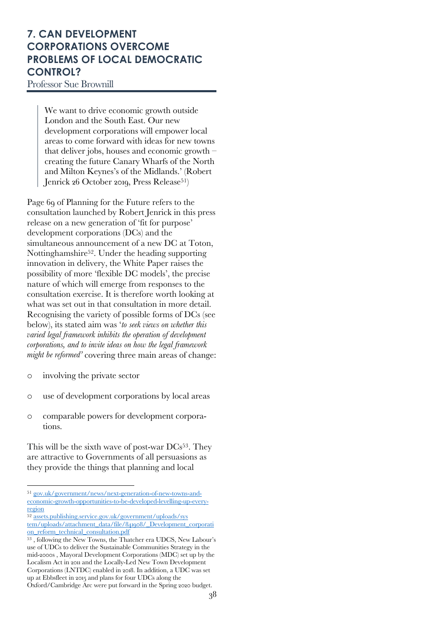# **7. CAN DEVELOPMENT CORPORATIONS OVERCOME PROBLEMS OF LOCAL DEMOCRATIC CONTROL?**

Professor Sue Brownill

We want to drive economic growth outside London and the South East. Our new development corporations will empower local areas to come forward with ideas for new towns that deliver jobs, houses and economic growth – creating the future Canary Wharfs of the North and Milton Keynes's of the Midlands.' (Robert Jenrick 26 October 2019, Press Release<sup>51</sup>)

Page 69 of Planning for the Future refers to the consultation launched by Robert Jenrick in this press release on a new generation of 'fit for purpose' development corporations (DCs) and the simultaneous announcement of a new DC at Toton, Nottinghamshire52. Under the heading supporting innovation in delivery, the White Paper raises the possibility of more 'flexible DC models', the precise nature of which will emerge from responses to the consultation exercise. It is therefore worth looking at what was set out in that consultation in more detail. Recognising the variety of possible forms of DCs (see below), its stated aim was '*to seek views on whether this varied legal framework inhibits the operation of development corporations, and to invite ideas on how the legal framework might be reformed'* covering three main areas of change:

- o involving the private sector
- o use of development corporations by local areas
- o comparable powers for development corporations.

This will be the sixth wave of post-war DCs<sup>53</sup>. They are attractive to Governments of all persuasions as they provide the things that planning and local

<sup>51</sup> gov.uk/government/news/next-generation-of-new-towns-andeconomic-growth-opportunities-to-be-developed-levelling-up-everyregion

<sup>52</sup> assets.publishing.service.gov.uk/government/uploads/sys tem/uploads/attachment\_data/file/841908/\_Development\_corporati on\_reform\_technical\_consultation.pdf

<sup>53</sup> , following the New Towns, the Thatcher era UDCS, New Labour's use of UDCs to deliver the Sustainable Communities Strategy in the mid-2000s , Mayoral Development Corporations (MDC) set up by the Localism Act in 2011 and the Locally-Led New Town Development Corporations (LNTDC) enabled in 2018. In addition, a UDC was set up at Ebbsfleet in 2015 and plans for four UDCs along the Oxford/Cambridge Arc were put forward in the Spring 2020 budget.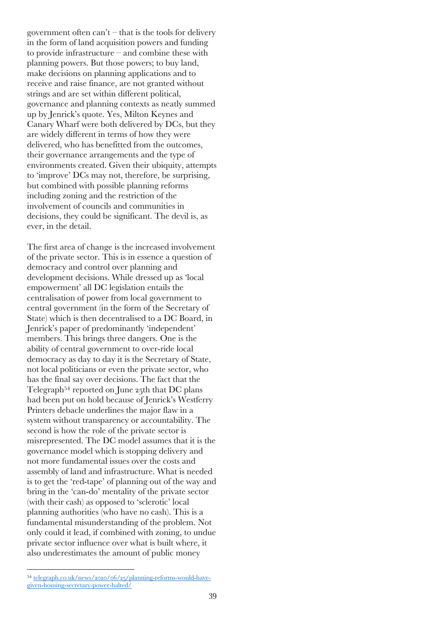government often  $can't$  – that is the tools for delivery in the form of land acquisition powers and funding to provide infrastructure – and combine these with planning powers. But those powers; to buy land, make decisions on planning applications and to receive and raise finance, are not granted without strings and are set within different political, governance and planning contexts as neatly summed up by Jenrick's quote. Yes, Milton Keynes and Canary Wharf were both delivered by DCs, but they are widely different in terms of how they were delivered, who has benefitted from the outcomes, their governance arrangements and the type of environments created. Given their ubiquity, attempts to 'improve' DCs may not, therefore, be surprising, but combined with possible planning reforms including zoning and the restriction of the involvement of councils and communities in decisions, they could be significant. The devil is, as ever, in the detail.

The first area of change is the increased involvement of the private sector. This is in essence a question of democracy and control over planning and development decisions. While dressed up as 'local empowerment' all DC legislation entails the centralisation of power from local government to central government (in the form of the Secretary of State) which is then decentralised to a DC Board, in Jenrick's paper of predominantly 'independent' members. This brings three dangers. One is the ability of central government to over-ride local democracy as day to day it is the Secretary of State, not local politicians or even the private sector, who has the final say over decisions. The fact that the Telegraph54 reported on June 25th that DC plans had been put on hold because of Jenrick's Westferry Printers debacle underlines the major flaw in a system without transparency or accountability. The second is how the role of the private sector is misrepresented. The DC model assumes that it is the governance model which is stopping delivery and not more fundamental issues over the costs and assembly of land and infrastructure. What is needed is to get the 'red-tape' of planning out of the way and bring in the 'can-do' mentality of the private sector (with their cash) as opposed to 'sclerotic' local planning authorities (who have no cash). This is a fundamental misunderstanding of the problem. Not only could it lead, if combined with zoning, to undue private sector influence over what is built where, it also underestimates the amount of public money

<sup>54</sup> telegraph.co.uk/news/2020/06/25/planning-reforms-would-havegiven-housing-secretary-power-halted/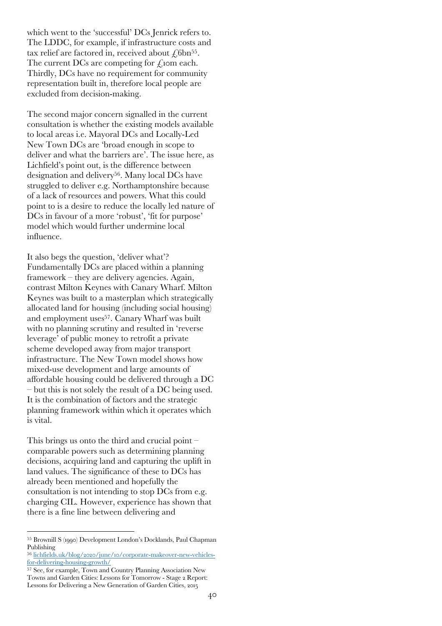which went to the 'successful' DCs Jenrick refers to. The LDDC, for example, if infrastructure costs and tax relief are factored in, received about  $\mathcal{L}_{6}$ 6bn<sup>55</sup>. The current DCs are competing for  $f$ , iom each. Thirdly, DCs have no requirement for community representation built in, therefore local people are excluded from decision-making.

The second major concern signalled in the current consultation is whether the existing models available to local areas i.e. Mayoral DCs and Locally-Led New Town DCs are 'broad enough in scope to deliver and what the barriers are'. The issue here, as Lichfield's point out, is the difference between designation and delivery56. Many local DCs have struggled to deliver e.g. Northamptonshire because of a lack of resources and powers. What this could point to is a desire to reduce the locally led nature of DCs in favour of a more 'robust', 'fit for purpose' model which would further undermine local influence.

It also begs the question, 'deliver what'? Fundamentally DCs are placed within a planning framework – they are delivery agencies. Again, contrast Milton Keynes with Canary Wharf. Milton Keynes was built to a masterplan which strategically allocated land for housing (including social housing) and employment uses<sup>57</sup>. Canary Wharf was built with no planning scrutiny and resulted in 'reverse leverage' of public money to retrofit a private scheme developed away from major transport infrastructure. The New Town model shows how mixed-use development and large amounts of affordable housing could be delivered through a DC – but this is not solely the result of a DC being used. It is the combination of factors and the strategic planning framework within which it operates which is vital.

This brings us onto the third and crucial point – comparable powers such as determining planning decisions, acquiring land and capturing the uplift in land values. The significance of these to DCs has already been mentioned and hopefully the consultation is not intending to stop DCs from e.g. charging CIL. However, experience has shown that there is a fine line between delivering and

<sup>55</sup> Brownill S (1990) Development London's Docklands, Paul Chapman Publishing

<sup>56</sup> lichfields.uk/blog/2020/june/10/corporate-makeover-new-vehiclesfor-delivering-housing-growth/

<sup>57</sup> See, for example, Town and Country Planning Association New Towns and Garden Cities: Lessons for Tomorrow - Stage 2 Report: Lessons for Delivering a New Generation of Garden Cities, 2015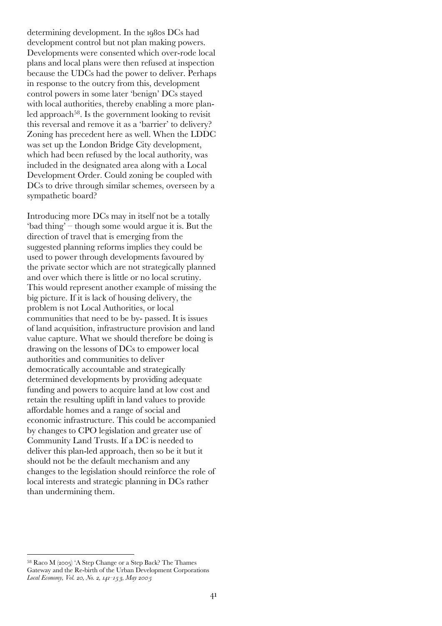determining development. In the 1980s DCs had development control but not plan making powers. Developments were consented which over-rode local plans and local plans were then refused at inspection because the UDCs had the power to deliver. Perhaps in response to the outcry from this, development control powers in some later 'benign' DCs stayed with local authorities, thereby enabling a more planled approach<sup>58</sup>. Is the government looking to revisit this reversal and remove it as a 'barrier' to delivery? Zoning has precedent here as well. When the LDDC was set up the London Bridge City development, which had been refused by the local authority, was included in the designated area along with a Local Development Order. Could zoning be coupled with DCs to drive through similar schemes, overseen by a sympathetic board?

Introducing more DCs may in itself not be a totally 'bad thing' – though some would argue it is. But the direction of travel that is emerging from the suggested planning reforms implies they could be used to power through developments favoured by the private sector which are not strategically planned and over which there is little or no local scrutiny. This would represent another example of missing the big picture. If it is lack of housing delivery, the problem is not Local Authorities, or local communities that need to be by- passed. It is issues of land acquisition, infrastructure provision and land value capture. What we should therefore be doing is drawing on the lessons of DCs to empower local authorities and communities to deliver democratically accountable and strategically determined developments by providing adequate funding and powers to acquire land at low cost and retain the resulting uplift in land values to provide affordable homes and a range of social and economic infrastructure. This could be accompanied by changes to CPO legislation and greater use of Community Land Trusts. If a DC is needed to deliver this plan-led approach, then so be it but it should not be the default mechanism and any changes to the legislation should reinforce the role of local interests and strategic planning in DCs rather than undermining them.

<sup>58</sup> Raco M (2005) 'A Step Change or a Step Back? The Thames Gateway and the Re-birth of the Urban Development Corporations *Local Economy, Vol. 20, No. 2, 141–153, May 2005*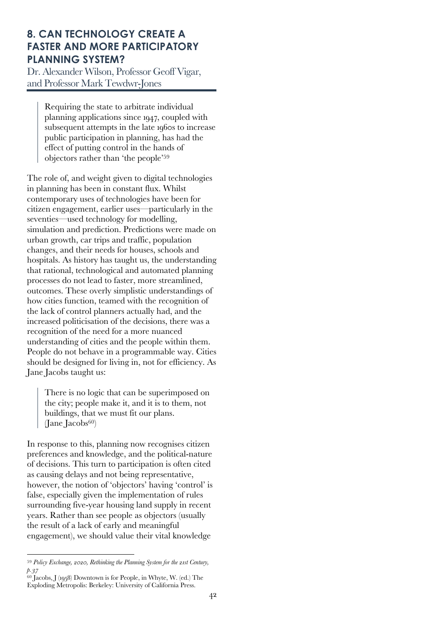# **8. CAN TECHNOLOGY CREATE A FASTER AND MORE PARTICIPATORY PLANNING SYSTEM?**

Dr. Alexander Wilson, Professor Geoff Vigar, and Professor Mark Tewdwr-Jones

> Requiring the state to arbitrate individual planning applications since 1947, coupled with subsequent attempts in the late 1960s to increase public participation in planning, has had the effect of putting control in the hands of objectors rather than 'the people'59

The role of, and weight given to digital technologies in planning has been in constant flux. Whilst contemporary uses of technologies have been for citizen engagement, earlier uses—particularly in the seventies—used technology for modelling, simulation and prediction. Predictions were made on urban growth, car trips and traffic, population changes, and their needs for houses, schools and hospitals. As history has taught us, the understanding that rational, technological and automated planning processes do not lead to faster, more streamlined, outcomes. These overly simplistic understandings of how cities function, teamed with the recognition of the lack of control planners actually had, and the increased politicisation of the decisions, there was a recognition of the need for a more nuanced understanding of cities and the people within them. People do not behave in a programmable way. Cities should be designed for living in, not for efficiency. As Jane Jacobs taught us:

There is no logic that can be superimposed on the city; people make it, and it is to them, not buildings, that we must fit our plans. (Jane Jacobs $60$ )

In response to this, planning now recognises citizen preferences and knowledge, and the political-nature of decisions. This turn to participation is often cited as causing delays and not being representative, however, the notion of 'objectors' having 'control' is false, especially given the implementation of rules surrounding five-year housing land supply in recent years. Rather than see people as objectors (usually the result of a lack of early and meaningful engagement), we should value their vital knowledge

<sup>59</sup> *Policy Exchange, 2020, Rethinking the Planning System for the 21st Century, p.37*

 $^{60}$  Jacobs, J (1958) Downtown is for People, in Whyte, W. (ed.) The Exploding Metropolis: Berkeley: University of California Press.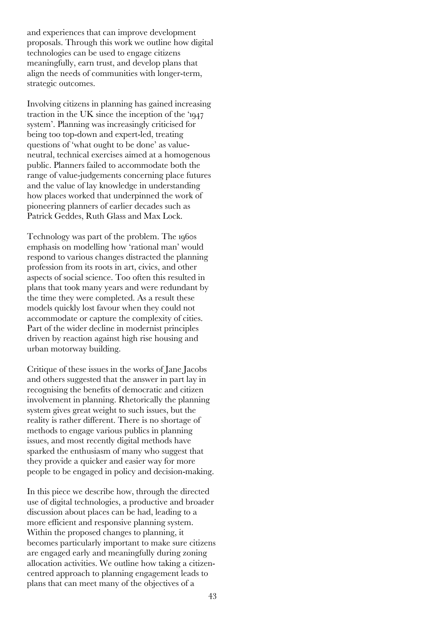and experiences that can improve development proposals. Through this work we outline how digital technologies can be used to engage citizens meaningfully, earn trust, and develop plans that align the needs of communities with longer-term, strategic outcomes.

Involving citizens in planning has gained increasing traction in the UK since the inception of the '1947 system'. Planning was increasingly criticised for being too top-down and expert-led, treating questions of 'what ought to be done' as valueneutral, technical exercises aimed at a homogenous public. Planners failed to accommodate both the range of value-judgements concerning place futures and the value of lay knowledge in understanding how places worked that underpinned the work of pioneering planners of earlier decades such as Patrick Geddes, Ruth Glass and Max Lock.

Technology was part of the problem. The 1960s emphasis on modelling how 'rational man' would respond to various changes distracted the planning profession from its roots in art, civics, and other aspects of social science. Too often this resulted in plans that took many years and were redundant by the time they were completed. As a result these models quickly lost favour when they could not accommodate or capture the complexity of cities. Part of the wider decline in modernist principles driven by reaction against high rise housing and urban motorway building.

Critique of these issues in the works of Jane Jacobs and others suggested that the answer in part lay in recognising the benefits of democratic and citizen involvement in planning. Rhetorically the planning system gives great weight to such issues, but the reality is rather different. There is no shortage of methods to engage various publics in planning issues, and most recently digital methods have sparked the enthusiasm of many who suggest that they provide a quicker and easier way for more people to be engaged in policy and decision-making.

In this piece we describe how, through the directed use of digital technologies, a productive and broader discussion about places can be had, leading to a more efficient and responsive planning system. Within the proposed changes to planning, it becomes particularly important to make sure citizens are engaged early and meaningfully during zoning allocation activities. We outline how taking a citizencentred approach to planning engagement leads to plans that can meet many of the objectives of a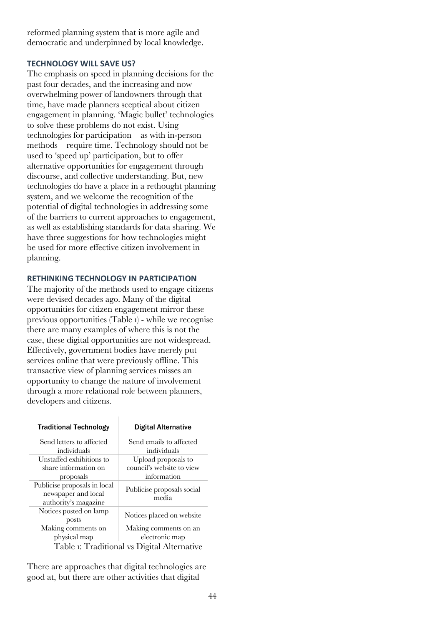reformed planning system that is more agile and democratic and underpinned by local knowledge.

#### **TECHNOLOGY WILL SAVE US?**

The emphasis on speed in planning decisions for the past four decades, and the increasing and now overwhelming power of landowners through that time, have made planners sceptical about citizen engagement in planning. 'Magic bullet' technologies to solve these problems do not exist. Using technologies for participation—as with in-person methods—require time. Technology should not be used to 'speed up' participation, but to offer alternative opportunities for engagement through discourse, and collective understanding. But, new technologies do have a place in a rethought planning system, and we welcome the recognition of the potential of digital technologies in addressing some of the barriers to current approaches to engagement, as well as establishing standards for data sharing. We have three suggestions for how technologies might be used for more effective citizen involvement in planning.

#### **RETHINKING TECHNOLOGY IN PARTICIPATION**

The majority of the methods used to engage citizens were devised decades ago. Many of the digital opportunities for citizen engagement mirror these previous opportunities (Table 1) - while we recognise there are many examples of where this is not the case, these digital opportunities are not widespread. Effectively, government bodies have merely put services online that were previously offline. This transactive view of planning services misses an opportunity to change the nature of involvement through a more relational role between planners, developers and citizens.

| <b>Traditional Technology</b>                       | Digital Alternative                 |  |
|-----------------------------------------------------|-------------------------------------|--|
| Send letters to affected                            | Send emails to affected             |  |
| individuals                                         | individuals                         |  |
| Unstaffed exhibitions to                            | Upload proposals to                 |  |
| share information on                                | council's website to view           |  |
| proposals                                           | information                         |  |
| Publicise proposals in local<br>newspaper and local | Publicise proposals social<br>media |  |
| authority's magazine                                |                                     |  |
| Notices posted on lamp<br>posts                     | Notices placed on website.          |  |
| Making comments on                                  | Making comments on an               |  |
| physical map                                        | electronic map                      |  |
| Table i: Traditional vs Digital Alternative         |                                     |  |

There are approaches that digital technologies are good at, but there are other activities that digital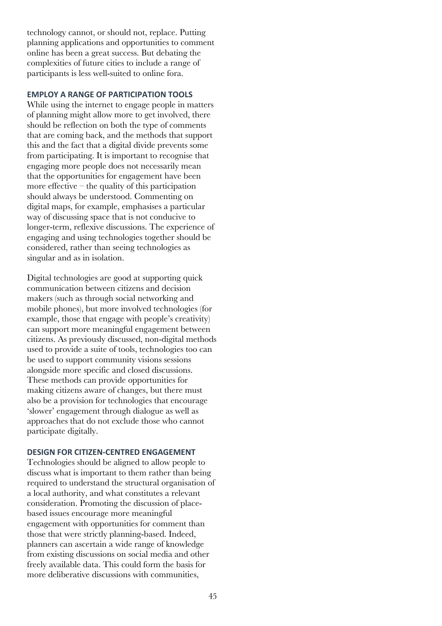technology cannot, or should not, replace. Putting planning applications and opportunities to comment online has been a great success. But debating the complexities of future cities to include a range of participants is less well-suited to online fora.

#### **EMPLOY A RANGE OF PARTICIPATION TOOLS**

While using the internet to engage people in matters of planning might allow more to get involved, there should be reflection on both the type of comments that are coming back, and the methods that support this and the fact that a digital divide prevents some from participating. It is important to recognise that engaging more people does not necessarily mean that the opportunities for engagement have been more effective  $-$  the quality of this participation should always be understood. Commenting on digital maps, for example, emphasises a particular way of discussing space that is not conducive to longer-term, reflexive discussions. The experience of engaging and using technologies together should be considered, rather than seeing technologies as singular and as in isolation.

Digital technologies are good at supporting quick communication between citizens and decision makers (such as through social networking and mobile phones), but more involved technologies (for example, those that engage with people's creativity) can support more meaningful engagement between citizens. As previously discussed, non-digital methods used to provide a suite of tools, technologies too can be used to support community visions sessions alongside more specific and closed discussions. These methods can provide opportunities for making citizens aware of changes, but there must also be a provision for technologies that encourage 'slower' engagement through dialogue as well as approaches that do not exclude those who cannot participate digitally.

## **DESIGN FOR CITIZEN-CENTRED ENGAGEMENT**

Technologies should be aligned to allow people to discuss what is important to them rather than being required to understand the structural organisation of a local authority, and what constitutes a relevant consideration. Promoting the discussion of placebased issues encourage more meaningful engagement with opportunities for comment than those that were strictly planning-based. Indeed, planners can ascertain a wide range of knowledge from existing discussions on social media and other freely available data. This could form the basis for more deliberative discussions with communities,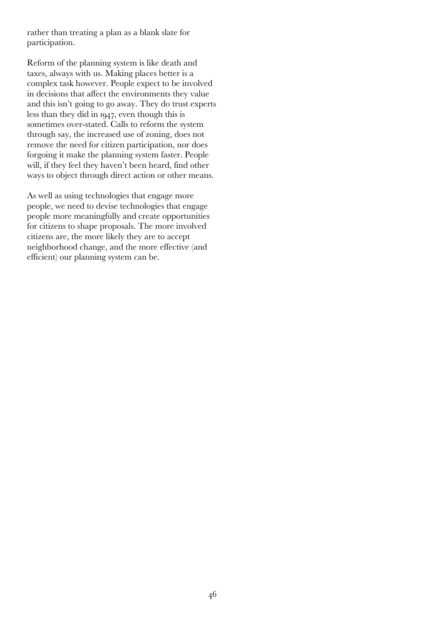rather than treating a plan as a blank slate for participation.

Reform of the planning system is like death and taxes, always with us. Making places better is a complex task however. People expect to be involved in decisions that affect the environments they value and this isn't going to go away. They do trust experts less than they did in 1947, even though this is sometimes over-stated. Calls to reform the system through say, the increased use of zoning, does not remove the need for citizen participation, nor does forgoing it make the planning system faster. People will, if they feel they haven't been heard, find other ways to object through direct action or other means.

As well as using technologies that engage more people, we need to devise technologies that engage people more meaningfully and create opportunities for citizens to shape proposals. The more involved citizens are, the more likely they are to accept neighborhood change, and the more effective (and efficient) our planning system can be.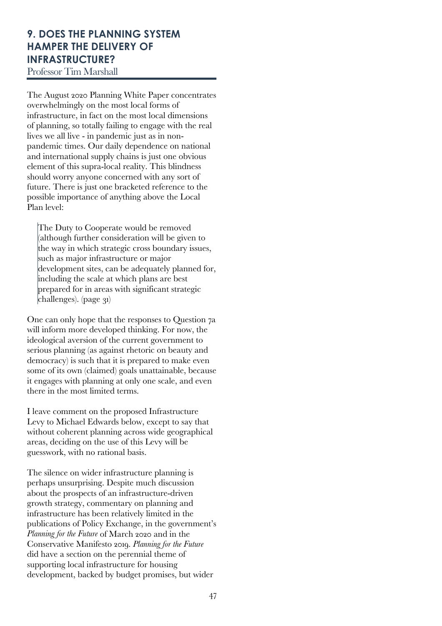# **9. DOES THE PLANNING SYSTEM HAMPER THE DELIVERY OF INFRASTRUCTURE?**

Professor Tim Marshall

The August 2020 Planning White Paper concentrates overwhelmingly on the most local forms of infrastructure, in fact on the most local dimensions of planning, so totally failing to engage with the real lives we all live - in pandemic just as in nonpandemic times. Our daily dependence on national and international supply chains is just one obvious element of this supra-local reality. This blindness should worry anyone concerned with any sort of future. There is just one bracketed reference to the possible importance of anything above the Local Plan level:

The Duty to Cooperate would be removed (although further consideration will be given to the way in which strategic cross boundary issues, such as major infrastructure or major development sites, can be adequately planned for, including the scale at which plans are best prepared for in areas with significant strategic  $challenges)$ . (page 31)

One can only hope that the responses to Question 7a will inform more developed thinking. For now, the ideological aversion of the current government to serious planning (as against rhetoric on beauty and democracy) is such that it is prepared to make even some of its own (claimed) goals unattainable, because it engages with planning at only one scale, and even there in the most limited terms.

I leave comment on the proposed Infrastructure Levy to Michael Edwards below, except to say that without coherent planning across wide geographical areas, deciding on the use of this Levy will be guesswork, with no rational basis.

The silence on wider infrastructure planning is perhaps unsurprising. Despite much discussion about the prospects of an infrastructure-driven growth strategy, commentary on planning and infrastructure has been relatively limited in the publications of Policy Exchange, in the government's *Planning for the Future* of March 2020 and in the Conservative Manifesto 2019. *Planning for the Future* did have a section on the perennial theme of supporting local infrastructure for housing development, backed by budget promises, but wider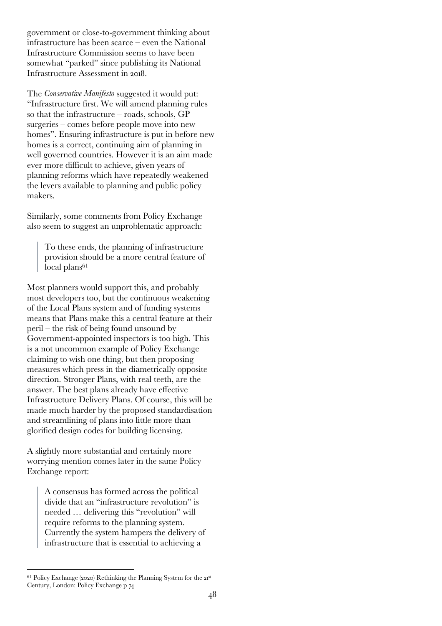government or close-to-government thinking about infrastructure has been scarce – even the National Infrastructure Commission seems to have been somewhat "parked" since publishing its National Infrastructure Assessment in 2018.

The *Conservative Manifesto* suggested it would put: "Infrastructure first. We will amend planning rules so that the infrastructure – roads, schools, GP surgeries – comes before people move into new homes". Ensuring infrastructure is put in before new homes is a correct, continuing aim of planning in well governed countries. However it is an aim made ever more difficult to achieve, given years of planning reforms which have repeatedly weakened the levers available to planning and public policy makers.

Similarly, some comments from Policy Exchange also seem to suggest an unproblematic approach:

To these ends, the planning of infrastructure provision should be a more central feature of local plans<sup>61</sup>

Most planners would support this, and probably most developers too, but the continuous weakening of the Local Plans system and of funding systems means that Plans make this a central feature at their peril – the risk of being found unsound by Government-appointed inspectors is too high. This is a not uncommon example of Policy Exchange claiming to wish one thing, but then proposing measures which press in the diametrically opposite direction. Stronger Plans, with real teeth, are the answer. The best plans already have effective Infrastructure Delivery Plans. Of course, this will be made much harder by the proposed standardisation and streamlining of plans into little more than glorified design codes for building licensing.

A slightly more substantial and certainly more worrying mention comes later in the same Policy Exchange report:

> A consensus has formed across the political divide that an "infrastructure revolution" is needed … delivering this "revolution" will require reforms to the planning system. Currently the system hampers the delivery of infrastructure that is essential to achieving a

 $61$  Policy Exchange (2020) Rethinking the Planning System for the  $21^{st}$ Century, London: Policy Exchange p 74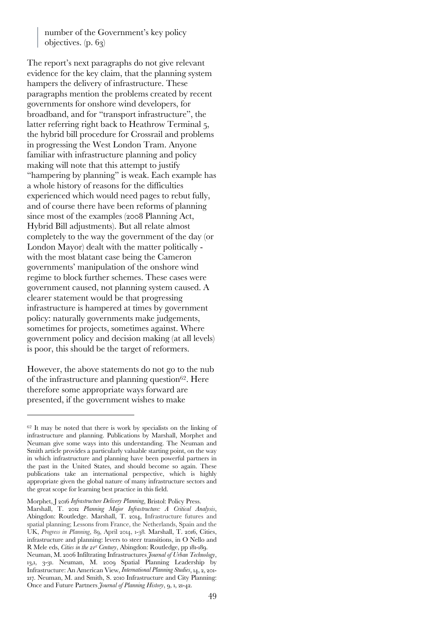number of the Government's key policy objectives. (p. 63)

The report's next paragraphs do not give relevant evidence for the key claim, that the planning system hampers the delivery of infrastructure. These paragraphs mention the problems created by recent governments for onshore wind developers, for broadband, and for "transport infrastructure", the latter referring right back to Heathrow Terminal 5, the hybrid bill procedure for Crossrail and problems in progressing the West London Tram. Anyone familiar with infrastructure planning and policy making will note that this attempt to justify "hampering by planning" is weak. Each example has a whole history of reasons for the difficulties experienced which would need pages to rebut fully, and of course there have been reforms of planning since most of the examples (2008 Planning Act, Hybrid Bill adjustments). But all relate almost completely to the way the government of the day (or London Mayor) dealt with the matter politically with the most blatant case being the Cameron governments' manipulation of the onshore wind regime to block further schemes. These cases were government caused, not planning system caused. A clearer statement would be that progressing infrastructure is hampered at times by government policy: naturally governments make judgements, sometimes for projects, sometimes against. Where government policy and decision making (at all levels) is poor, this should be the target of reformers.

However, the above statements do not go to the nub of the infrastructure and planning question62. Here therefore some appropriate ways forward are presented, if the government wishes to make

 $62$  It may be noted that there is work by specialists on the linking of infrastructure and planning. Publications by Marshall, Morphet and Neuman give some ways into this understanding. The Neuman and Smith article provides a particularly valuable starting point, on the way in which infrastructure and planning have been powerful partners in the past in the United States, and should become so again. These publications take an international perspective, which is highly appropriate given the global nature of many infrastructure sectors and the great scope for learning best practice in this field.

Morphet, J 2016 *Infrastructure Delivery Planning*, Bristol: Policy Press.

Marshall, T. 2012 *Planning Major Infrastructure: A Critical Analysis*, Abingdon: Routledge. Marshall, T. 2014, Infrastructure futures and spatial planning; Lessons from France, the Netherlands, Spain and the UK, *Progress in Planning*, 89, April 2014, 1-38*.* Marshall, T. 2016, Cities, infrastructure and planning: levers to steer transitions, in O Nello and R Mele eds, *Cities in the 21st Century*, Abingdon: Routledge, pp 181-189.

Neuman, M. 2006 Infiltrating Infrastructures *Journal of Urban Technology*, 13,1, 3-31. Neuman, M. 2009 Spatial Planning Leadership by Infrastructure: An American View, *International Planning Studies*, 14, 2, 201- 217. Neuman, M. and Smith, S. 2010 Infrastructure and City Planning: Once and Future Partners *Journal of Planning History*, 9, 1, 21-42.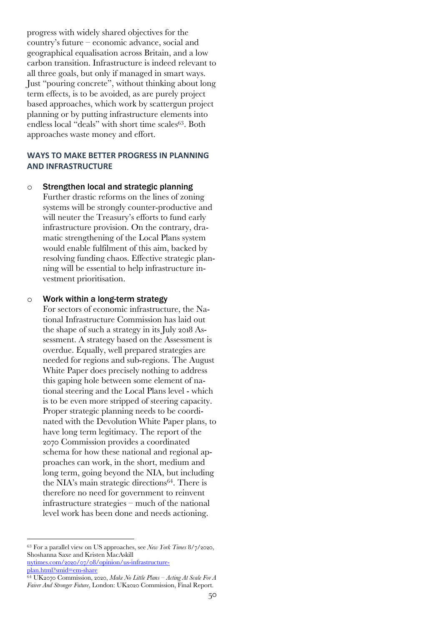progress with widely shared objectives for the country's future – economic advance, social and geographical equalisation across Britain, and a low carbon transition. Infrastructure is indeed relevant to all three goals, but only if managed in smart ways. Just "pouring concrete", without thinking about long term effects, is to be avoided, as are purely project based approaches, which work by scattergun project planning or by putting infrastructure elements into endless local "deals" with short time scales<sup>63</sup>. Both approaches waste money and effort.

### **WAYS TO MAKE BETTER PROGRESS IN PLANNING AND INFRASTRUCTURE**

o Strengthen local and strategic planning Further drastic reforms on the lines of zoning systems will be strongly counter-productive and will neuter the Treasury's efforts to fund early infrastructure provision. On the contrary, dramatic strengthening of the Local Plans system would enable fulfilment of this aim, backed by resolving funding chaos. Effective strategic planning will be essential to help infrastructure investment prioritisation.

#### o Work within a long-term strategy

For sectors of economic infrastructure, the National Infrastructure Commission has laid out the shape of such a strategy in its July 2018 Assessment. A strategy based on the Assessment is overdue. Equally, well prepared strategies are needed for regions and sub-regions. The August White Paper does precisely nothing to address this gaping hole between some element of national steering and the Local Plans level - which is to be even more stripped of steering capacity. Proper strategic planning needs to be coordinated with the Devolution White Paper plans, to have long term legitimacy. The report of the 2070 Commission provides a coordinated schema for how these national and regional approaches can work, in the short, medium and long term, going beyond the NIA, but including the NIA's main strategic directions64. There is therefore no need for government to reinvent infrastructure strategies – much of the national level work has been done and needs actioning.

<sup>63</sup> For a parallel view on US approaches, see *New York Times* 8/7/2020, Shoshanna Saxe and Kristen MacAskill nytimes.com/2020/07/08/opinion/us-infrastructure-

plan.html?smid=em-share

<sup>64</sup> UK2070 Commission, 2020, *Make No Little Plans – Acting At Scale For A Fairer And Stronger Future*, London: UK2020 Commission, Final Report.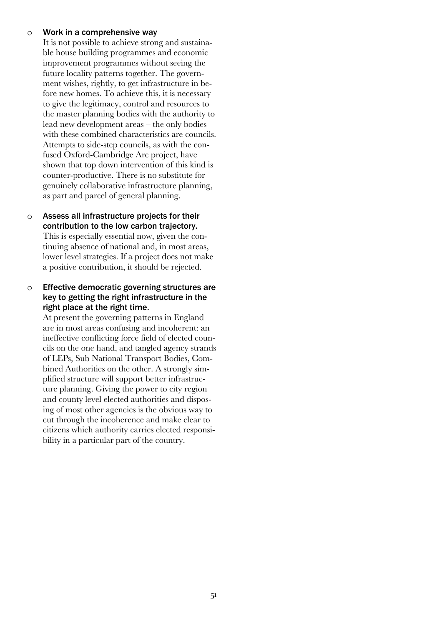#### $\circ$  Work in a comprehensive way

It is not possible to achieve strong and sustainable house building programmes and economic improvement programmes without seeing the future locality patterns together. The government wishes, rightly, to get infrastructure in before new homes. To achieve this, it is necessary to give the legitimacy, control and resources to the master planning bodies with the authority to lead new development areas – the only bodies with these combined characteristics are councils. Attempts to side-step councils, as with the confused Oxford-Cambridge Arc project, have shown that top down intervention of this kind is counter-productive. There is no substitute for genuinely collaborative infrastructure planning, as part and parcel of general planning.

o Assess all infrastructure projects for their contribution to the low carbon trajectory. This is especially essential now, given the continuing absence of national and, in most areas, lower level strategies. If a project does not make a positive contribution, it should be rejected.

## o Effective democratic governing structures are key to getting the right infrastructure in the right place at the right time.

At present the governing patterns in England are in most areas confusing and incoherent: an ineffective conflicting force field of elected councils on the one hand, and tangled agency strands of LEPs, Sub National Transport Bodies, Combined Authorities on the other. A strongly simplified structure will support better infrastructure planning. Giving the power to city region and county level elected authorities and disposing of most other agencies is the obvious way to cut through the incoherence and make clear to citizens which authority carries elected responsibility in a particular part of the country.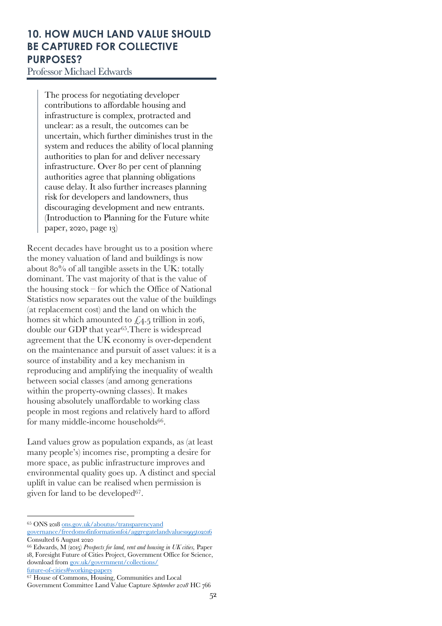# **10. HOW MUCH LAND VALUE SHOULD BE CAPTURED FOR COLLECTIVE PURPOSES?**

Professor Michael Edwards

The process for negotiating developer contributions to affordable housing and infrastructure is complex, protracted and unclear: as a result, the outcomes can be uncertain, which further diminishes trust in the system and reduces the ability of local planning authorities to plan for and deliver necessary infrastructure. Over 80 per cent of planning authorities agree that planning obligations cause delay. It also further increases planning risk for developers and landowners, thus discouraging development and new entrants. (Introduction to Planning for the Future white paper, 2020, page 13)

Recent decades have brought us to a position where the money valuation of land and buildings is now about 80% of all tangible assets in the UK: totally dominant. The vast majority of that is the value of the housing stock – for which the Office of National Statistics now separates out the value of the buildings (at replacement cost) and the land on which the homes sit which amounted to  $\text{\emph{L}}4.5$  trillion in 2016, double our GDP that year65.There is widespread agreement that the UK economy is over-dependent on the maintenance and pursuit of asset values: it is a source of instability and a key mechanism in reproducing and amplifying the inequality of wealth between social classes (and among generations within the property-owning classes). It makes housing absolutely unaffordable to working class people in most regions and relatively hard to afford for many middle-income households<sup>66</sup>.

Land values grow as population expands, as (at least many people's) incomes rise, prompting a desire for more space, as public infrastructure improves and environmental quality goes up. A distinct and special uplift in value can be realised when permission is given for land to be developed<sup>67</sup>.

<sup>65</sup> ONS 2018 ons.gov.uk/aboutus/transparencyand

governance/freedomofinformationfoi/aggregatelandvalues1995to2016 Consulted 6 August 2020

<sup>66</sup> Edwards, M (2015) *Prospects for land, rent and housing in UK cities,* Paper 18, Foresight Future of Cities Project, Government Office for Science, download from gov.uk/government/collections/ future-of-cities#working-papers

<sup>67</sup> House of Commons, Housing, Communities and Local

Government Committee Land Value Capture *September 2018* HC 766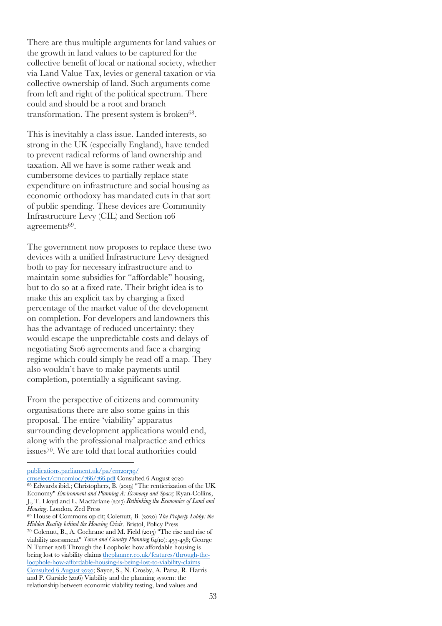There are thus multiple arguments for land values or the growth in land values to be captured for the collective benefit of local or national society, whether via Land Value Tax, levies or general taxation or via collective ownership of land. Such arguments come from left and right of the political spectrum. There could and should be a root and branch transformation. The present system is broken<sup>68</sup>.

This is inevitably a class issue. Landed interests, so strong in the UK (especially England), have tended to prevent radical reforms of land ownership and taxation. All we have is some rather weak and cumbersome devices to partially replace state expenditure on infrastructure and social housing as economic orthodoxy has mandated cuts in that sort of public spending. These devices are Community Infrastructure Levy (CIL) and Section 106 agreements<sup>69</sup>.

The government now proposes to replace these two devices with a unified Infrastructure Levy designed both to pay for necessary infrastructure and to maintain some subsidies for "affordable" housing, but to do so at a fixed rate. Their bright idea is to make this an explicit tax by charging a fixed percentage of the market value of the development on completion. For developers and landowners this has the advantage of reduced uncertainty: they would escape the unpredictable costs and delays of negotiating S106 agreements and face a charging regime which could simply be read off a map. They also wouldn't have to make payments until completion, potentially a significant saving.

From the perspective of citizens and community organisations there are also some gains in this proposal. The entire 'viability' apparatus surrounding development applications would end, along with the professional malpractice and ethics issues70. We are told that local authorities could

publications.parliament.uk/pa/cm201719/

cmselect/cmcomloc/766/766.pdf Consulted 6 August 2020 <sup>68</sup> Edwards ibid.; Christophers, B. (2019) "The rentierization of the UK Economy" *Environment and Planning A: Economy and Space;* Ryan-Collins, J., T. Lloyd and L. Macfarlane (2017) *Rethinking the Economics of Land and Housing*. London, Zed Press

<sup>69</sup> House of Commons op cit; Colenutt, B. (2020) *The Property Lobby: the Hidden Reality behind the Housing Crisis*. Bristol, Policy Press <sup>70</sup> Colenutt, B., A. Cochrane and M. Field (2015) "The rise and rise of

viability assessment" *Town and Country Planning* 64(10): 453-458; George N Turner 2018 Through the Loophole: how affordable housing is being lost to viability claims theplanner.co.uk/features/through-theloophole-how-affordable-housing-is-being-lost-to-viability-claims Consulted 6 August 2020; Sayce, S., N. Crosby, A. Parsa, R. Harris and P. Garside (2016) Viability and the planning system: the relationship between economic viability testing, land values and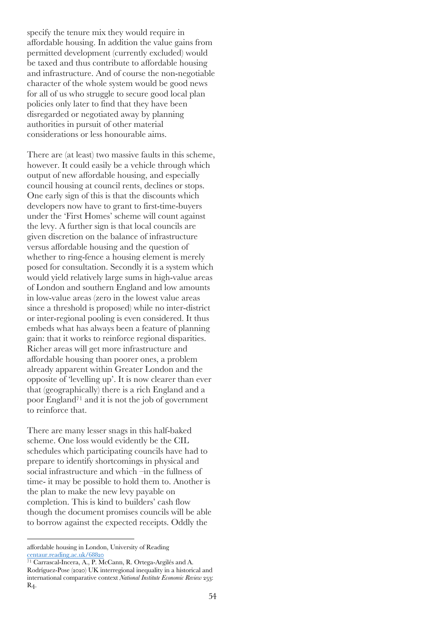specify the tenure mix they would require in affordable housing. In addition the value gains from permitted development (currently excluded) would be taxed and thus contribute to affordable housing and infrastructure. And of course the non-negotiable character of the whole system would be good news for all of us who struggle to secure good local plan policies only later to find that they have been disregarded or negotiated away by planning authorities in pursuit of other material considerations or less honourable aims.

There are (at least) two massive faults in this scheme, however. It could easily be a vehicle through which output of new affordable housing, and especially council housing at council rents, declines or stops. One early sign of this is that the discounts which developers now have to grant to first-time-buyers under the 'First Homes' scheme will count against the levy. A further sign is that local councils are given discretion on the balance of infrastructure versus affordable housing and the question of whether to ring-fence a housing element is merely posed for consultation. Secondly it is a system which would yield relatively large sums in high-value areas of London and southern England and low amounts in low-value areas (zero in the lowest value areas since a threshold is proposed) while no inter-district or inter-regional pooling is even considered. It thus embeds what has always been a feature of planning gain: that it works to reinforce regional disparities. Richer areas will get more infrastructure and affordable housing than poorer ones, a problem already apparent within Greater London and the opposite of 'levelling up'. It is now clearer than ever that (geographically) there is a rich England and a poor England71 and it is not the job of government to reinforce that.

There are many lesser snags in this half-baked scheme. One loss would evidently be the CIL schedules which participating councils have had to prepare to identify shortcomings in physical and social infrastructure and which –in the fullness of time- it may be possible to hold them to. Another is the plan to make the new levy payable on completion. This is kind to builders' cash flow though the document promises councils will be able to borrow against the expected receipts. Oddly the

affordable housing in London, University of Reading centaur.reading.ac.uk/68820

<sup>71</sup> Carrascal-Incera, A., P. McCann, R. Ortega-Argilés and A. Rodríguez-Pose (2020) UK interregional inequality in a historical and international comparative context *National Institute Economic Review* 253: R4.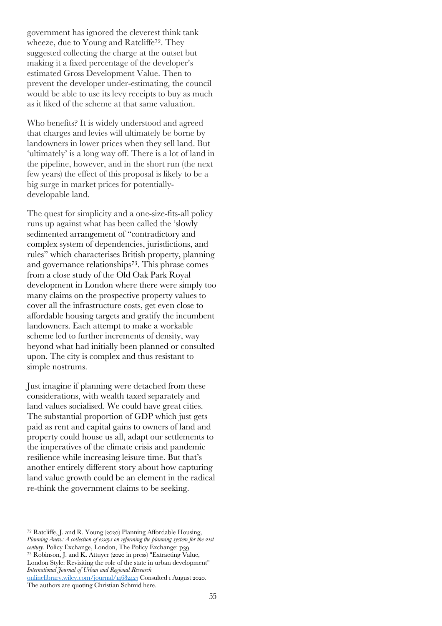government has ignored the cleverest think tank wheeze, due to Young and Ratcliffe<sup>72</sup>. They suggested collecting the charge at the outset but making it a fixed percentage of the developer's estimated Gross Development Value. Then to prevent the developer under-estimating, the council would be able to use its levy receipts to buy as much as it liked of the scheme at that same valuation.

Who benefits? It is widely understood and agreed that charges and levies will ultimately be borne by landowners in lower prices when they sell land. But 'ultimately' is a long way off. There is a lot of land in the pipeline, however, and in the short run (the next few years) the effect of this proposal is likely to be a big surge in market prices for potentiallydevelopable land.

The quest for simplicity and a one-size-fits-all policy runs up against what has been called the 'slowly sedimented arrangement of "contradictory and complex system of dependencies, jurisdictions, and rules" which characterises British property, planning and governance relationships73. This phrase comes from a close study of the Old Oak Park Royal development in London where there were simply too many claims on the prospective property values to cover all the infrastructure costs, get even close to affordable housing targets and gratify the incumbent landowners. Each attempt to make a workable scheme led to further increments of density, way beyond what had initially been planned or consulted upon. The city is complex and thus resistant to simple nostrums.

Just imagine if planning were detached from these considerations, with wealth taxed separately and land values socialised. We could have great cities. The substantial proportion of GDP which just gets paid as rent and capital gains to owners of land and property could house us all, adapt our settlements to the imperatives of the climate crisis and pandemic resilience while increasing leisure time. But that's another entirely different story about how capturing land value growth could be an element in the radical re-think the government claims to be seeking.

<sup>72</sup> Ratcliffe, J. and R. Young (2020) Planning Affordable Housing, *Planning Anew: A collection of essays on reforming the planning system for the 21st century*. Policy Exchange, London, The Policy Exchange: p39 <sup>73</sup> Robinson, J. and K. Attuyer (2020 in press) "Extracting Value, London Style: Revisiting the role of the state in urban development" *International Journal of Urban and Regional Research*  onlinelibrary.wiley.com/journal/14682427 Consulted 1 August 2020. The authors are quoting Christian Schmid here.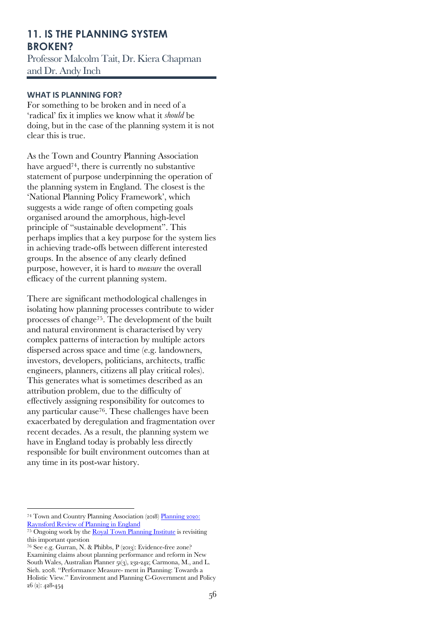# **11. IS THE PLANNING SYSTEM BROKEN?**

Professor Malcolm Tait, Dr. Kiera Chapman and Dr. Andy Inch

## **WHAT IS PLANNING FOR?**

For something to be broken and in need of a 'radical' fix it implies we know what it *should* be doing, but in the case of the planning system it is not clear this is true.

As the Town and Country Planning Association have argued<sup>74</sup>, there is currently no substantive statement of purpose underpinning the operation of the planning system in England. The closest is the 'National Planning Policy Framework', which suggests a wide range of often competing goals organised around the amorphous, high-level principle of "sustainable development". This perhaps implies that a key purpose for the system lies in achieving trade-offs between different interested groups. In the absence of any clearly defined purpose, however, it is hard to *measure* the overall efficacy of the current planning system.

There are significant methodological challenges in isolating how planning processes contribute to wider processes of change75. The development of the built and natural environment is characterised by very complex patterns of interaction by multiple actors dispersed across space and time (e.g. landowners, investors, developers, politicians, architects, traffic engineers, planners, citizens all play critical roles). This generates what is sometimes described as an attribution problem, due to the difficulty of effectively assigning responsibility for outcomes to any particular cause76. These challenges have been exacerbated by deregulation and fragmentation over recent decades. As a result, the planning system we have in England today is probably less directly responsible for built environment outcomes than at any time in its post-war history.

<sup>&</sup>lt;sup>74</sup> Town and Country Planning Association (2018) Planning 2020: Raynsford Review of Planning in England

 $\frac{75}{75}$  Ongoing work by the Royal Town Planning Institute is revisiting this important question

<sup>76</sup> See e.g. Gurran, N. & Phibbs, P (2013): Evidence-free zone? Examining claims about planning performance and reform in New South Wales, Australian Planner 51(3), 232-242; Carmona, M., and L. Sieh. 2008. ''Performance Measure- ment in Planning: Towards a Holistic View.'' Environment and Planning C-Government and Policy 26 (2): 428-454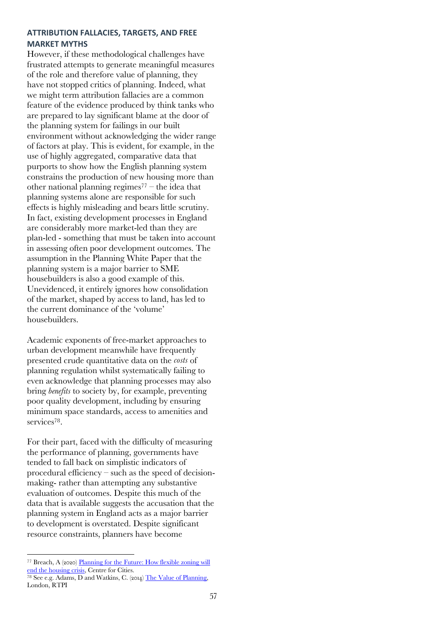## **ATTRIBUTION FALLACIES, TARGETS, AND FREE MARKET MYTHS**

However, if these methodological challenges have frustrated attempts to generate meaningful measures of the role and therefore value of planning, they have not stopped critics of planning. Indeed, what we might term attribution fallacies are a common feature of the evidence produced by think tanks who are prepared to lay significant blame at the door of the planning system for failings in our built environment without acknowledging the wider range of factors at play. This is evident, for example, in the use of highly aggregated, comparative data that purports to show how the English planning system constrains the production of new housing more than other national planning regimes $77$  – the idea that planning systems alone are responsible for such effects is highly misleading and bears little scrutiny. In fact, existing development processes in England are considerably more market-led than they are plan-led - something that must be taken into account in assessing often poor development outcomes. The assumption in the Planning White Paper that the planning system is a major barrier to SME housebuilders is also a good example of this. Unevidenced, it entirely ignores how consolidation of the market, shaped by access to land, has led to the current dominance of the 'volume' housebuilders.

Academic exponents of free-market approaches to urban development meanwhile have frequently presented crude quantitative data on the *costs* of planning regulation whilst systematically failing to even acknowledge that planning processes may also bring *benefits* to society by, for example, preventing poor quality development, including by ensuring minimum space standards, access to amenities and services<sup>78</sup>.

For their part, faced with the difficulty of measuring the performance of planning, governments have tended to fall back on simplistic indicators of procedural efficiency – such as the speed of decisionmaking- rather than attempting any substantive evaluation of outcomes. Despite this much of the data that is available suggests the accusation that the planning system in England acts as a major barrier to development is overstated. Despite significant resource constraints, planners have become

<sup>77</sup> Breach, A (2020) Planning for the Future: How flexible zoning will end the housing crisis, Centre for Cities.

<sup>&</sup>lt;sup>78</sup> See e.g. Adams, D and Watkins, C. (2014) The Value of Planning, London, RTPI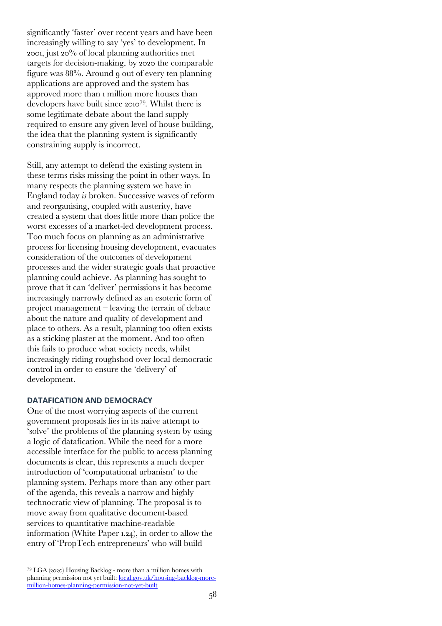significantly 'faster' over recent years and have been increasingly willing to say 'yes' to development. In 2001, just 20% of local planning authorities met targets for decision-making, by 2020 the comparable figure was 88%. Around 9 out of every ten planning applications are approved and the system has approved more than 1 million more houses than developers have built since 201079*.* Whilst there is some legitimate debate about the land supply required to ensure any given level of house building, the idea that the planning system is significantly constraining supply is incorrect.

Still, any attempt to defend the existing system in these terms risks missing the point in other ways. In many respects the planning system we have in England today *is* broken. Successive waves of reform and reorganising, coupled with austerity, have created a system that does little more than police the worst excesses of a market-led development process. Too much focus on planning as an administrative process for licensing housing development, evacuates consideration of the outcomes of development processes and the wider strategic goals that proactive planning could achieve. As planning has sought to prove that it can 'deliver' permissions it has become increasingly narrowly defined as an esoteric form of project management – leaving the terrain of debate about the nature and quality of development and place to others. As a result, planning too often exists as a sticking plaster at the moment. And too often this fails to produce what society needs, whilst increasingly riding roughshod over local democratic control in order to ensure the 'delivery' of development.

#### **DATAFICATION AND DEMOCRACY**

One of the most worrying aspects of the current government proposals lies in its naive attempt to 'solve' the problems of the planning system by using a logic of datafication. While the need for a more accessible interface for the public to access planning documents is clear, this represents a much deeper introduction of 'computational urbanism' to the planning system. Perhaps more than any other part of the agenda, this reveals a narrow and highly technocratic view of planning. The proposal is to move away from qualitative document-based services to quantitative machine-readable information (White Paper 1.24), in order to allow the entry of 'PropTech entrepreneurs' who will build

<sup>79</sup> LGA (2020) Housing Backlog - more than a million homes with planning permission not yet built: local.gov.uk/housing-backlog-moremillion-homes-planning-permission-not-yet-built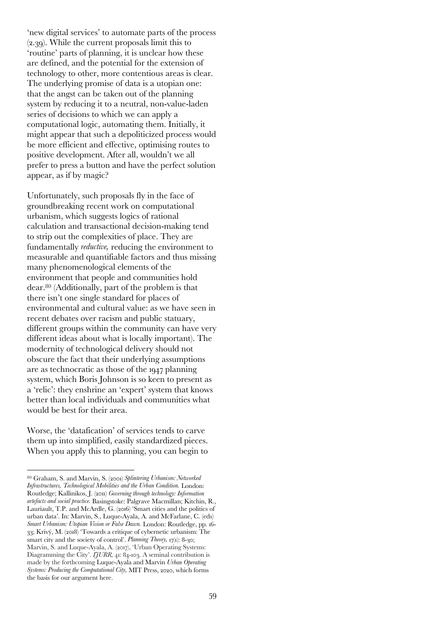'new digital services' to automate parts of the process (2.39). While the current proposals limit this to 'routine' parts of planning, it is unclear how these are defined, and the potential for the extension of technology to other, more contentious areas is clear. The underlying promise of data is a utopian one: that the angst can be taken out of the planning system by reducing it to a neutral, non-value-laden series of decisions to which we can apply a computational logic, automating them. Initially, it might appear that such a depoliticized process would be more efficient and effective, optimising routes to positive development. After all, wouldn't we all prefer to press a button and have the perfect solution appear, as if by magic?

Unfortunately, such proposals fly in the face of groundbreaking recent work on computational urbanism, which suggests logics of rational calculation and transactional decision-making tend to strip out the complexities of place. They are fundamentally *reductive,* reducing the environment to measurable and quantifiable factors and thus missing many phenomenological elements of the environment that people and communities hold dear.80 (Additionally, part of the problem is that there isn't one single standard for places of environmental and cultural value: as we have seen in recent debates over racism and public statuary, different groups within the community can have very different ideas about what is locally important). The modernity of technological delivery should not obscure the fact that their underlying assumptions are as technocratic as those of the 1947 planning system, which Boris Johnson is so keen to present as a 'relic': they enshrine an 'expert' system that knows better than local individuals and communities what would be best for their area.

Worse, the 'datafication' of services tends to carve them up into simplified, easily standardized pieces. When you apply this to planning, you can begin to

<sup>80</sup> Graham, S. and Marvin, S. (2001) *Splintering Urbanism: Networked Infrastructures, Technological Mobilities and the Urban Condition.* London: Routledge; Kallinikos, J. (2011) *Governing through technology: Information artefacts and social practice.* Basingstoke: Palgrave Macmillan; Kitchin, R., Lauriault, T.P. and McArdle, G. (2016) 'Smart cities and the politics of urban data'. In: Marvin, S., Luque-Ayala, A. and McFarlane, C. (eds) *Smart Urbanism: Utopian Vision or False Dawn.* London: Routledge, pp. 16- 33; Krivý, M. (2018) 'Towards a critique of cybernetic urbanism: The smart city and the society of control'. *Planning Theory,* 17(1): 8-30; Marvin, S. and Luque‐Ayala, A. (2017), 'Urban Operating Systems: Diagramming the City'. *If URR*, 41: 84-103. A seminal contribution is made by the forthcoming Luque-Ayala and Marvin *Urban Operating Systems: Producing the Computational City,* MIT Press, 2020, which forms the basis for our argument here.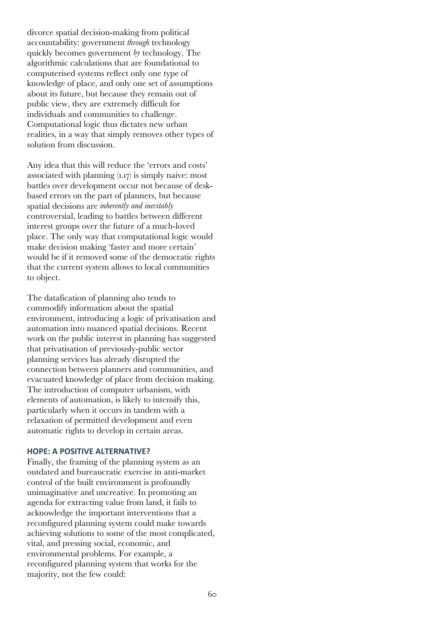divorce spatial decision-making from political accountability: government *through* technology quickly becomes government *by* technology. The algorithmic calculations that are foundational to computerised systems reflect only one type of knowledge of place, and only one set of assumptions about its future, but because they remain out of public view, they are extremely difficult for individuals and communities to challenge. Computational logic thus dictates new urban realities, in a way that simply removes other types of solution from discussion.

Any idea that this will reduce the 'errors and costs' associated with planning (1.17) is simply naive: most battles over development occur not because of deskbased errors on the part of planners, but because spatial decisions are *inherently and inevitably*  controversial, leading to battles between different interest groups over the future of a much-loved place. The only way that computational logic would make decision making 'faster and more certain' would be if it removed some of the democratic rights that the current system allows to local communities to object.

The datafication of planning also tends to commodify information about the spatial environment, introducing a logic of privatisation and automation into nuanced spatial decisions. Recent work on the public interest in planning has suggested that privatisation of previously-public sector planning services has already disrupted the connection between planners and communities, and evacuated knowledge of place from decision making. The introduction of computer urbanism, with elements of automation, is likely to intensify this, particularly when it occurs in tandem with a relaxation of permitted development and even automatic rights to develop in certain areas.

#### **HOPE: A POSITIVE ALTERNATIVE?**

Finally, the framing of the planning system as an outdated and bureaucratic exercise in anti-market control of the built environment is profoundly unimaginative and uncreative. In promoting an agenda for extracting value from land, it fails to acknowledge the important interventions that a reconfigured planning system could make towards achieving solutions to some of the most complicated, vital, and pressing social, economic, and environmental problems. For example, a reconfigured planning system that works for the majority, not the few could: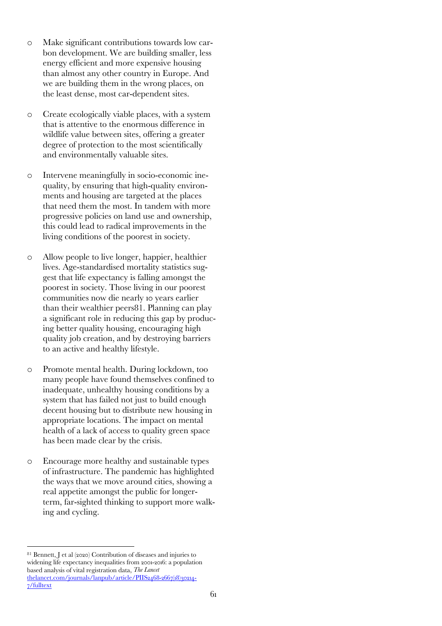- o Make significant contributions towards low carbon development. We are building smaller, less energy efficient and more expensive housing than almost any other country in Europe. And we are building them in the wrong places, on the least dense, most car-dependent sites.
- o Create ecologically viable places, with a system that is attentive to the enormous difference in wildlife value between sites, offering a greater degree of protection to the most scientifically and environmentally valuable sites.
- o Intervene meaningfully in socio-economic inequality, by ensuring that high-quality environments and housing are targeted at the places that need them the most. In tandem with more progressive policies on land use and ownership, this could lead to radical improvements in the living conditions of the poorest in society.
- o Allow people to live longer, happier, healthier lives. Age-standardised mortality statistics suggest that life expectancy is falling amongst the poorest in society. Those living in our poorest communities now die nearly 10 years earlier than their wealthier peers81. Planning can play a significant role in reducing this gap by producing better quality housing, encouraging high quality job creation, and by destroying barriers to an active and healthy lifestyle.
- o Promote mental health. During lockdown, too many people have found themselves confined to inadequate, unhealthy housing conditions by a system that has failed not just to build enough decent housing but to distribute new housing in appropriate locations. The impact on mental health of a lack of access to quality green space has been made clear by the crisis.
- o Encourage more healthy and sustainable types of infrastructure. The pandemic has highlighted the ways that we move around cities, showing a real appetite amongst the public for longerterm, far-sighted thinking to support more walking and cycling.

<sup>81</sup> Bennett, J et al (2020) Contribution of diseases and injuries to widening life expectancy inequalities from 2001-2016: a population based analysis of vital registration data, *The Lancet* thelancet.com/journals/lanpub/article/PIIS2468-2667(18)30214-7/fulltext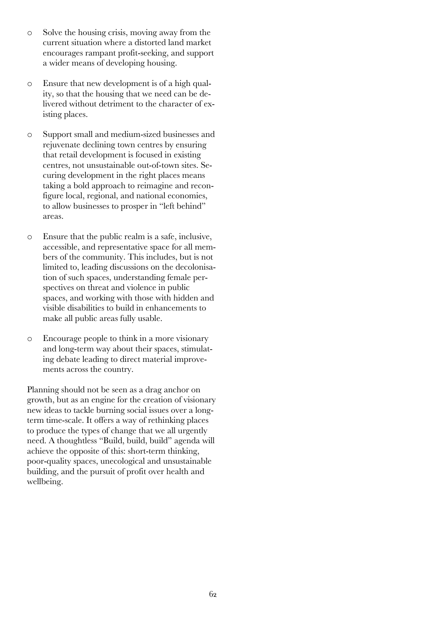- o Solve the housing crisis, moving away from the current situation where a distorted land market encourages rampant profit-seeking, and support a wider means of developing housing.
- o Ensure that new development is of a high quality, so that the housing that we need can be delivered without detriment to the character of existing places.
- o Support small and medium-sized businesses and rejuvenate declining town centres by ensuring that retail development is focused in existing centres, not unsustainable out-of-town sites. Securing development in the right places means taking a bold approach to reimagine and reconfigure local, regional, and national economies, to allow businesses to prosper in "left behind" areas.
- o Ensure that the public realm is a safe, inclusive, accessible, and representative space for all members of the community. This includes, but is not limited to, leading discussions on the decolonisation of such spaces, understanding female perspectives on threat and violence in public spaces, and working with those with hidden and visible disabilities to build in enhancements to make all public areas fully usable.
- o Encourage people to think in a more visionary and long-term way about their spaces, stimulating debate leading to direct material improvements across the country.

Planning should not be seen as a drag anchor on growth, but as an engine for the creation of visionary new ideas to tackle burning social issues over a longterm time-scale. It offers a way of rethinking places to produce the types of change that we all urgently need. A thoughtless "Build, build, build" agenda will achieve the opposite of this: short-term thinking, poor-quality spaces, unecological and unsustainable building, and the pursuit of profit over health and wellbeing.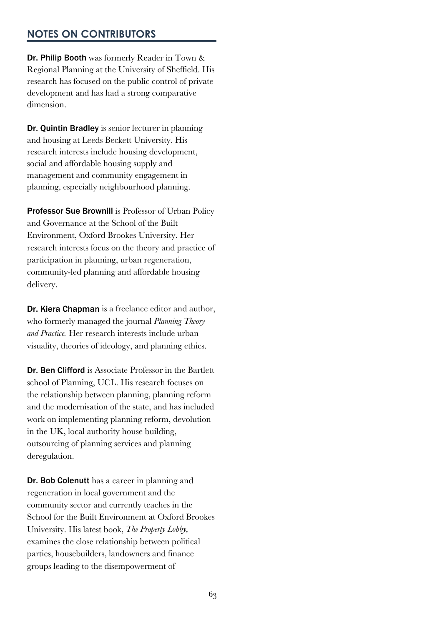# **NOTES ON CONTRIBUTORS**

Dr. Philip Booth was formerly Reader in Town & Regional Planning at the University of Sheffield. His research has focused on the public control of private development and has had a strong comparative dimension.

Dr. Quintin Bradley is senior lecturer in planning and housing at Leeds Beckett University. His research interests include housing development, social and affordable housing supply and management and community engagement in planning, especially neighbourhood planning.

Professor Sue Brownill is Professor of Urban Policy and Governance at the School of the Built Environment, Oxford Brookes University. Her research interests focus on the theory and practice of participation in planning, urban regeneration, community-led planning and affordable housing delivery.

Dr. Kiera Chapman is a freelance editor and author, who formerly managed the journal *Planning Theory and Practice.* Her research interests include urban visuality, theories of ideology, and planning ethics.

Dr. Ben Clifford is Associate Professor in the Bartlett school of Planning, UCL. His research focuses on the relationship between planning, planning reform and the modernisation of the state, and has included work on implementing planning reform, devolution in the UK, local authority house building, outsourcing of planning services and planning deregulation.

Dr. Bob Colenutt has a career in planning and regeneration in local government and the community sector and currently teaches in the School for the Built Environment at Oxford Brookes University. His latest book, *The Property Lobby,*  examines the close relationship between political parties, housebuilders, landowners and finance groups leading to the disempowerment of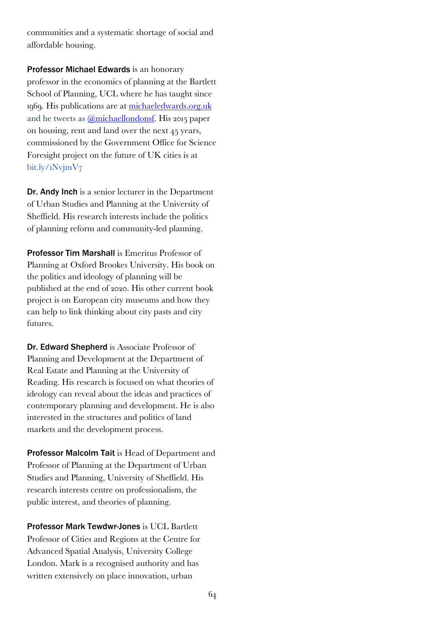communities and a systematic shortage of social and affordable housing.

Professor Michael Edwards is an honorary professor in the economics of planning at the Bartlett School of Planning, UCL where he has taught since 1969. His publications are at michaeledwards.org.uk and he tweets as @michaellondonsf. His 2015 paper on housing, rent and land over the next 45 years, commissioned by the Government Office for Science Foresight project on the future of UK cities is at bit.ly/1NvjmV7

Dr. Andy Inch is a senior lecturer in the Department of Urban Studies and Planning at the University of Sheffield. His research interests include the politics of planning reform and community-led planning.

Professor Tim Marshall is Emeritus Professor of Planning at Oxford Brookes University. His book on the politics and ideology of planning will be published at the end of 2020. His other current book project is on European city museums and how they can help to link thinking about city pasts and city futures.

Dr. Edward Shepherd is Associate Professor of Planning and Development at the Department of Real Estate and Planning at the University of Reading. His research is focused on what theories of ideology can reveal about the ideas and practices of contemporary planning and development. He is also interested in the structures and politics of land markets and the development process.

Professor Malcolm Tait is Head of Department and Professor of Planning at the Department of Urban Studies and Planning, University of Sheffield. His research interests centre on professionalism, the public interest, and theories of planning.

Professor Mark Tewdwr-Jones is UCL Bartlett Professor of Cities and Regions at the Centre for Advanced Spatial Analysis, University College London. Mark is a recognised authority and has written extensively on place innovation, urban